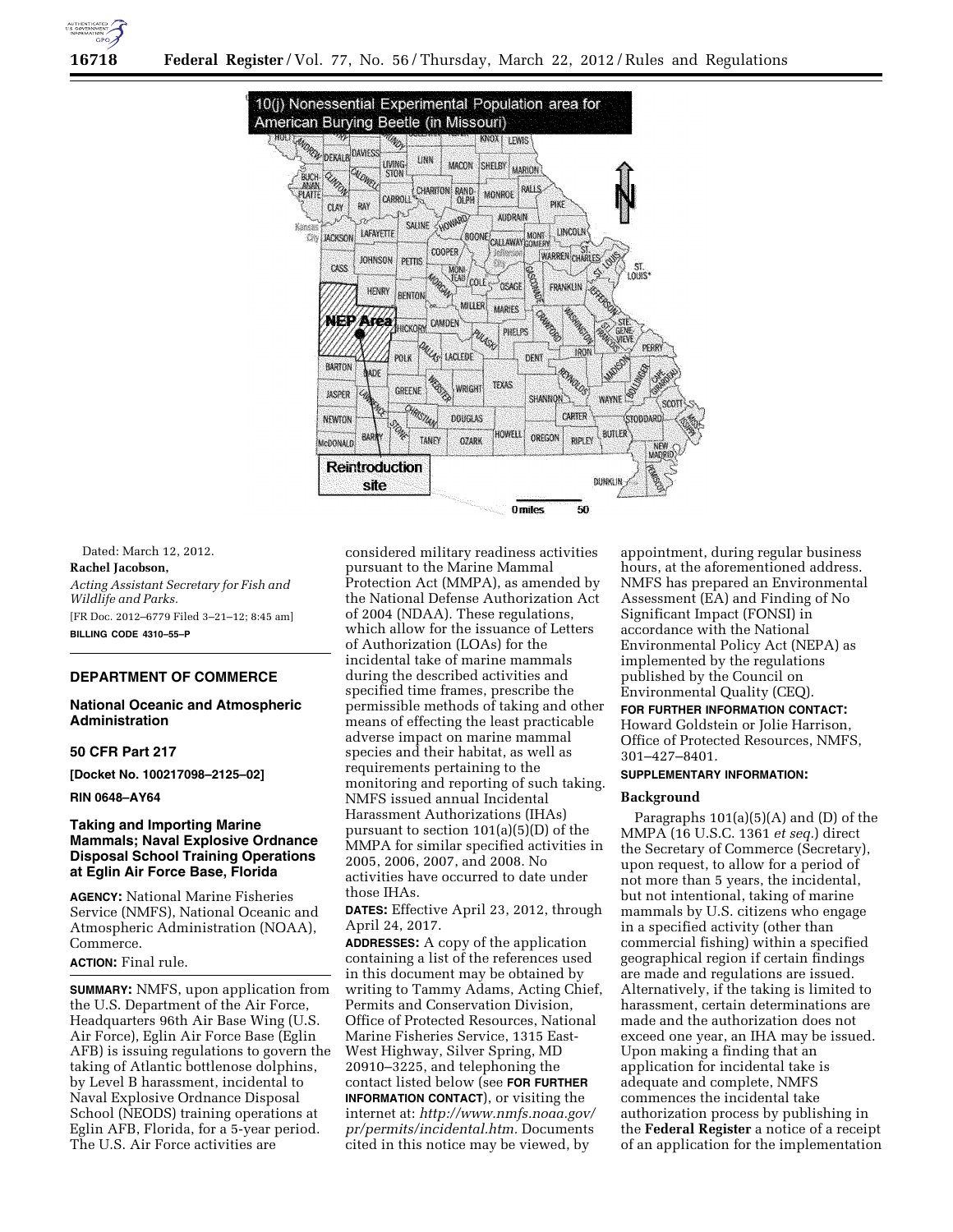



Dated: March 12, 2012. **Rachel Jacobson,**  *Acting Assistant Secretary for Fish and Wildlife and Parks.*  [FR Doc. 2012–6779 Filed 3–21–12; 8:45 am] **BILLING CODE 4310–55–P** 

# **DEPARTMENT OF COMMERCE**

# **National Oceanic and Atmospheric Administration**

### **50 CFR Part 217**

**[Docket No. 100217098–2125–02]** 

# **RIN 0648–AY64**

# **Taking and Importing Marine Mammals; Naval Explosive Ordnance Disposal School Training Operations at Eglin Air Force Base, Florida**

**AGENCY:** National Marine Fisheries Service (NMFS), National Oceanic and Atmospheric Administration (NOAA), Commerce.

# **ACTION:** Final rule.

**SUMMARY:** NMFS, upon application from the U.S. Department of the Air Force, Headquarters 96th Air Base Wing (U.S. Air Force), Eglin Air Force Base (Eglin AFB) is issuing regulations to govern the taking of Atlantic bottlenose dolphins, by Level B harassment, incidental to Naval Explosive Ordnance Disposal School (NEODS) training operations at Eglin AFB, Florida, for a 5-year period. The U.S. Air Force activities are

considered military readiness activities pursuant to the Marine Mammal Protection Act (MMPA), as amended by the National Defense Authorization Act of 2004 (NDAA). These regulations, which allow for the issuance of Letters of Authorization (LOAs) for the incidental take of marine mammals during the described activities and specified time frames, prescribe the permissible methods of taking and other means of effecting the least practicable adverse impact on marine mammal species and their habitat, as well as requirements pertaining to the monitoring and reporting of such taking. NMFS issued annual Incidental Harassment Authorizations (IHAs) pursuant to section 101(a)(5)(D) of the MMPA for similar specified activities in 2005, 2006, 2007, and 2008. No activities have occurred to date under those IHAs.

**DATES:** Effective April 23, 2012, through April 24, 2017.

**ADDRESSES:** A copy of the application containing a list of the references used in this document may be obtained by writing to Tammy Adams, Acting Chief, Permits and Conservation Division, Office of Protected Resources, National Marine Fisheries Service, 1315 East-West Highway, Silver Spring, MD 20910–3225, and telephoning the contact listed below (see **FOR FURTHER INFORMATION CONTACT**), or visiting the internet at: *[http://www.nmfs.noaa.gov/](http://www.nmfs.noaa.gov/pr/permits/incidental.htm)  [pr/permits/incidental.htm.](http://www.nmfs.noaa.gov/pr/permits/incidental.htm)* Documents cited in this notice may be viewed, by

appointment, during regular business hours, at the aforementioned address. NMFS has prepared an Environmental Assessment (EA) and Finding of No Significant Impact (FONSI) in accordance with the National Environmental Policy Act (NEPA) as implemented by the regulations published by the Council on Environmental Quality (CEQ).

# **FOR FURTHER INFORMATION CONTACT:**  Howard Goldstein or Jolie Harrison, Office of Protected Resources, NMFS, 301–427–8401.

# **SUPPLEMENTARY INFORMATION:**

### **Background**

Paragraphs 101(a)(5)(A) and (D) of the MMPA (16 U.S.C. 1361 *et seq.*) direct the Secretary of Commerce (Secretary), upon request, to allow for a period of not more than 5 years, the incidental, but not intentional, taking of marine mammals by U.S. citizens who engage in a specified activity (other than commercial fishing) within a specified geographical region if certain findings are made and regulations are issued. Alternatively, if the taking is limited to harassment, certain determinations are made and the authorization does not exceed one year, an IHA may be issued. Upon making a finding that an application for incidental take is adequate and complete, NMFS commences the incidental take authorization process by publishing in the **Federal Register** a notice of a receipt of an application for the implementation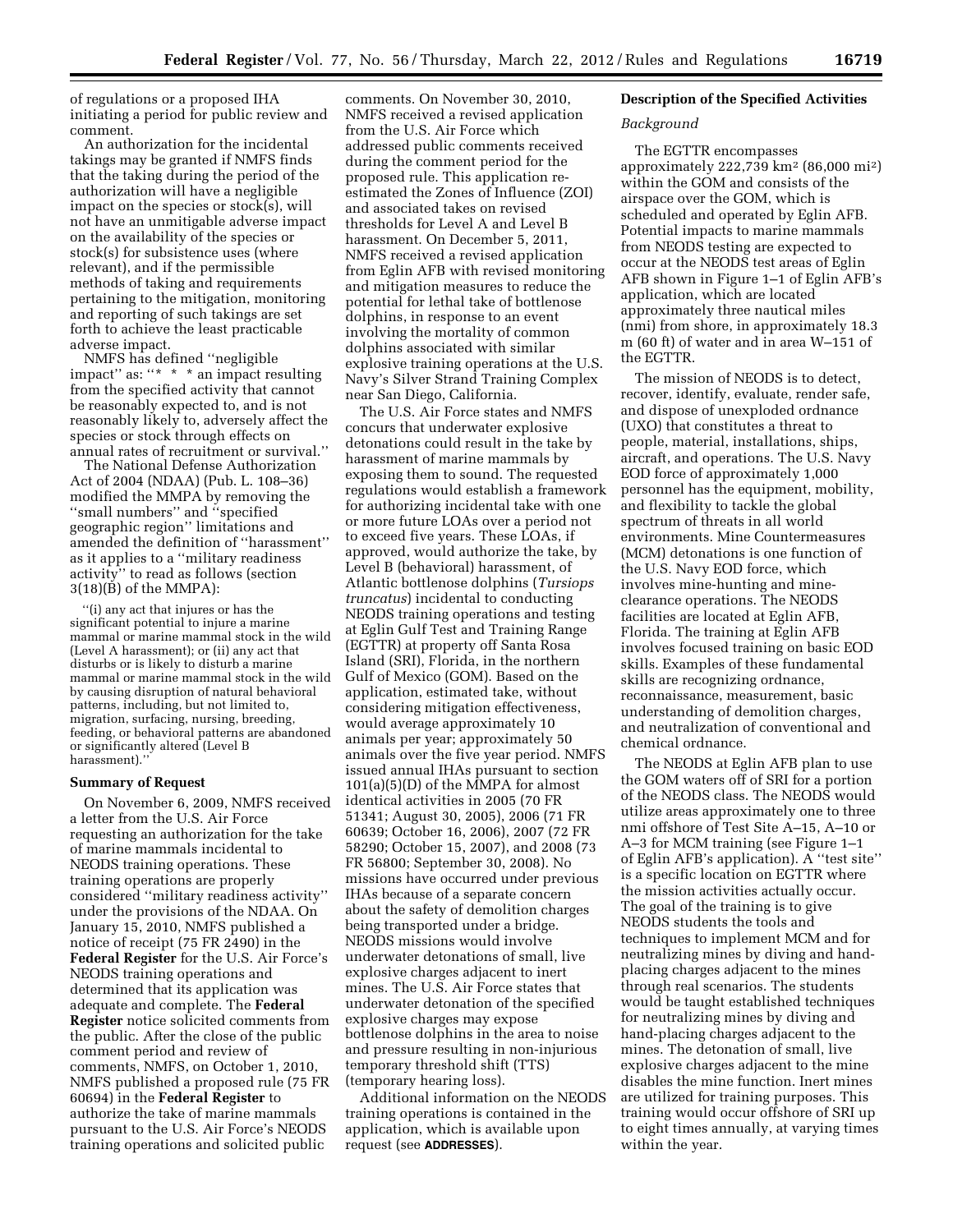of regulations or a proposed IHA initiating a period for public review and comment.

An authorization for the incidental takings may be granted if NMFS finds that the taking during the period of the authorization will have a negligible impact on the species or stock(s), will not have an unmitigable adverse impact on the availability of the species or stock(s) for subsistence uses (where relevant), and if the permissible methods of taking and requirements pertaining to the mitigation, monitoring and reporting of such takings are set forth to achieve the least practicable adverse impact.

NMFS has defined ''negligible impact'' as: ''\* \* \* an impact resulting from the specified activity that cannot be reasonably expected to, and is not reasonably likely to, adversely affect the species or stock through effects on annual rates of recruitment or survival.''

The National Defense Authorization Act of 2004 (NDAA) (Pub. L. 108–36) modified the MMPA by removing the ''small numbers'' and ''specified geographic region'' limitations and amended the definition of ''harassment'' as it applies to a ''military readiness activity'' to read as follows (section 3(18)(B) of the MMPA):

''(i) any act that injures or has the significant potential to injure a marine mammal or marine mammal stock in the wild (Level A harassment); or (ii) any act that disturbs or is likely to disturb a marine mammal or marine mammal stock in the wild by causing disruption of natural behavioral patterns, including, but not limited to, migration, surfacing, nursing, breeding, feeding, or behavioral patterns are abandoned or significantly altered (Level B harassment).''

#### **Summary of Request**

On November 6, 2009, NMFS received a letter from the U.S. Air Force requesting an authorization for the take of marine mammals incidental to NEODS training operations. These training operations are properly considered ''military readiness activity'' under the provisions of the NDAA. On January 15, 2010, NMFS published a notice of receipt (75 FR 2490) in the **Federal Register** for the U.S. Air Force's NEODS training operations and determined that its application was adequate and complete. The **Federal Register** notice solicited comments from the public. After the close of the public comment period and review of comments, NMFS, on October 1, 2010, NMFS published a proposed rule (75 FR 60694) in the **Federal Register** to authorize the take of marine mammals pursuant to the U.S. Air Force's NEODS training operations and solicited public

comments. On November 30, 2010, NMFS received a revised application from the U.S. Air Force which addressed public comments received during the comment period for the proposed rule. This application reestimated the Zones of Influence (ZOI) and associated takes on revised thresholds for Level A and Level B harassment. On December 5, 2011, NMFS received a revised application from Eglin AFB with revised monitoring and mitigation measures to reduce the potential for lethal take of bottlenose dolphins, in response to an event involving the mortality of common dolphins associated with similar explosive training operations at the U.S. Navy's Silver Strand Training Complex near San Diego, California.

The U.S. Air Force states and NMFS concurs that underwater explosive detonations could result in the take by harassment of marine mammals by exposing them to sound. The requested regulations would establish a framework for authorizing incidental take with one or more future LOAs over a period not to exceed five years. These LOAs, if approved, would authorize the take, by Level B (behavioral) harassment, of Atlantic bottlenose dolphins (*Tursiops truncatus*) incidental to conducting NEODS training operations and testing at Eglin Gulf Test and Training Range (EGTTR) at property off Santa Rosa Island (SRI), Florida, in the northern Gulf of Mexico (GOM). Based on the application, estimated take, without considering mitigation effectiveness, would average approximately 10 animals per year; approximately 50 animals over the five year period. NMFS issued annual IHAs pursuant to section  $101(a)(5)(D)$  of the MMPA for almost identical activities in 2005 (70 FR 51341; August 30, 2005), 2006 (71 FR 60639; October 16, 2006), 2007 (72 FR 58290; October 15, 2007), and 2008 (73 FR 56800; September 30, 2008). No missions have occurred under previous IHAs because of a separate concern about the safety of demolition charges being transported under a bridge. NEODS missions would involve underwater detonations of small, live explosive charges adjacent to inert mines. The U.S. Air Force states that underwater detonation of the specified explosive charges may expose bottlenose dolphins in the area to noise and pressure resulting in non-injurious temporary threshold shift (TTS) (temporary hearing loss).

Additional information on the NEODS training operations is contained in the application, which is available upon request (see **ADDRESSES**).

# **Description of the Specified Activities**

# *Background*

The EGTTR encompasses approximately 222,739 km2 (86,000 mi2) within the GOM and consists of the airspace over the GOM, which is scheduled and operated by Eglin AFB. Potential impacts to marine mammals from NEODS testing are expected to occur at the NEODS test areas of Eglin AFB shown in Figure 1–1 of Eglin AFB's application, which are located approximately three nautical miles (nmi) from shore, in approximately 18.3 m (60 ft) of water and in area W–151 of the EGTTR.

The mission of NEODS is to detect, recover, identify, evaluate, render safe, and dispose of unexploded ordnance (UXO) that constitutes a threat to people, material, installations, ships, aircraft, and operations. The U.S. Navy EOD force of approximately 1,000 personnel has the equipment, mobility, and flexibility to tackle the global spectrum of threats in all world environments. Mine Countermeasures (MCM) detonations is one function of the U.S. Navy EOD force, which involves mine-hunting and mineclearance operations. The NEODS facilities are located at Eglin AFB, Florida. The training at Eglin AFB involves focused training on basic EOD skills. Examples of these fundamental skills are recognizing ordnance, reconnaissance, measurement, basic understanding of demolition charges, and neutralization of conventional and chemical ordnance.

The NEODS at Eglin AFB plan to use the GOM waters off of SRI for a portion of the NEODS class. The NEODS would utilize areas approximately one to three nmi offshore of Test Site A–15, A–10 or A–3 for MCM training (see Figure 1–1 of Eglin AFB's application). A ''test site'' is a specific location on EGTTR where the mission activities actually occur. The goal of the training is to give NEODS students the tools and techniques to implement MCM and for neutralizing mines by diving and handplacing charges adjacent to the mines through real scenarios. The students would be taught established techniques for neutralizing mines by diving and hand-placing charges adjacent to the mines. The detonation of small, live explosive charges adjacent to the mine disables the mine function. Inert mines are utilized for training purposes. This training would occur offshore of SRI up to eight times annually, at varying times within the year.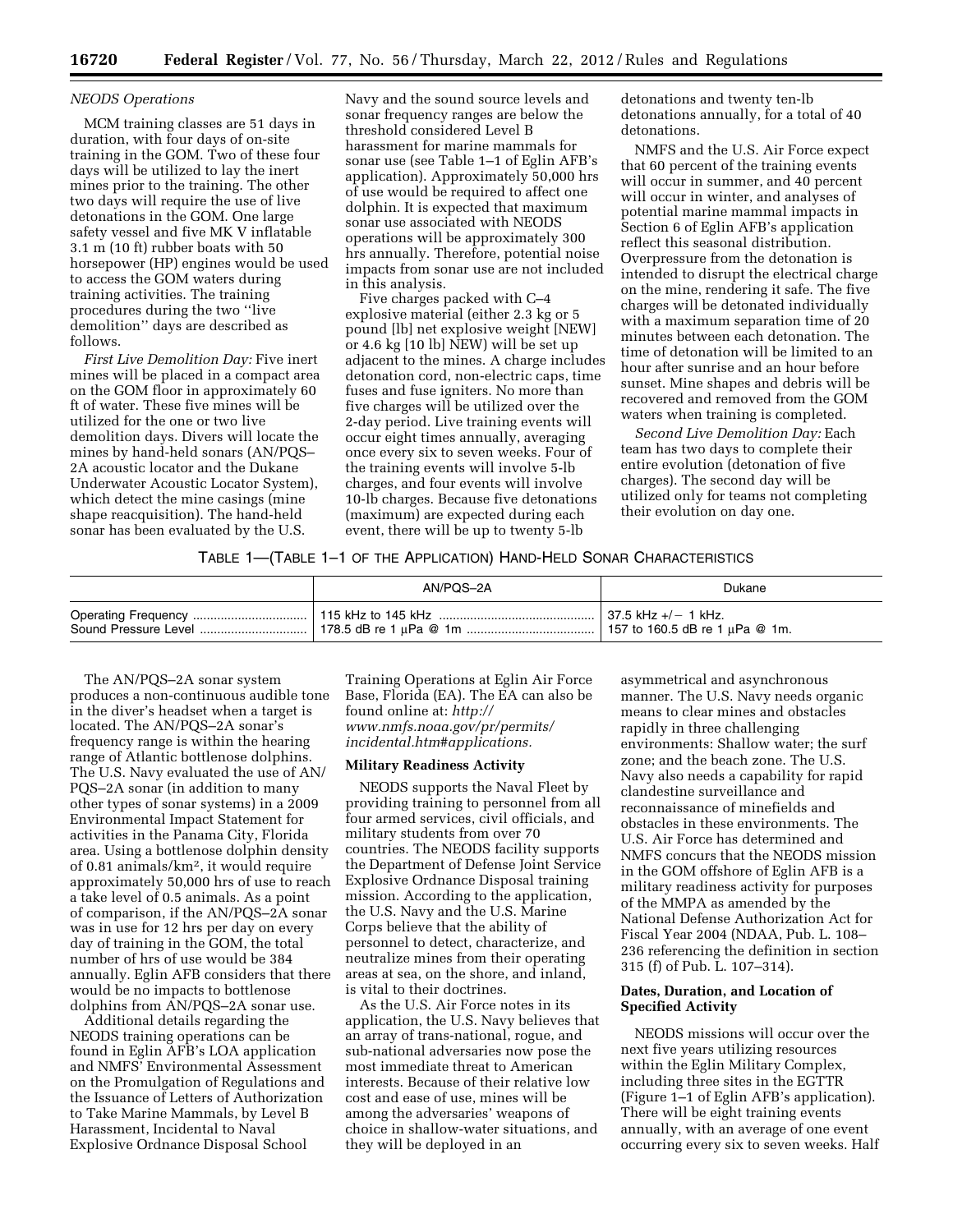### *NEODS Operations*

MCM training classes are 51 days in duration, with four days of on-site training in the GOM. Two of these four days will be utilized to lay the inert mines prior to the training. The other two days will require the use of live detonations in the GOM. One large safety vessel and five MK V inflatable 3.1 m (10 ft) rubber boats with 50 horsepower (HP) engines would be used to access the GOM waters during training activities. The training procedures during the two ''live demolition'' days are described as follows.

*First Live Demolition Day:* Five inert mines will be placed in a compact area on the GOM floor in approximately 60 ft of water. These five mines will be utilized for the one or two live demolition days. Divers will locate the mines by hand-held sonars (AN/PQS– 2A acoustic locator and the Dukane Underwater Acoustic Locator System), which detect the mine casings (mine shape reacquisition). The hand-held sonar has been evaluated by the U.S.

Navy and the sound source levels and sonar frequency ranges are below the threshold considered Level B harassment for marine mammals for sonar use (see Table 1–1 of Eglin AFB's application). Approximately 50,000 hrs of use would be required to affect one dolphin. It is expected that maximum sonar use associated with NEODS operations will be approximately 300 hrs annually. Therefore, potential noise impacts from sonar use are not included in this analysis.

Five charges packed with C–4 explosive material (either 2.3 kg or 5 pound [lb] net explosive weight [NEW] or 4.6 kg [10 lb] NEW) will be set up adjacent to the mines. A charge includes detonation cord, non-electric caps, time fuses and fuse igniters. No more than five charges will be utilized over the 2-day period. Live training events will occur eight times annually, averaging once every six to seven weeks. Four of the training events will involve 5-lb charges, and four events will involve 10-lb charges. Because five detonations (maximum) are expected during each event, there will be up to twenty 5-lb

detonations and twenty ten-lb detonations annually, for a total of 40 detonations.

NMFS and the U.S. Air Force expect that 60 percent of the training events will occur in summer, and 40 percent will occur in winter, and analyses of potential marine mammal impacts in Section 6 of Eglin AFB's application reflect this seasonal distribution. Overpressure from the detonation is intended to disrupt the electrical charge on the mine, rendering it safe. The five charges will be detonated individually with a maximum separation time of 20 minutes between each detonation. The time of detonation will be limited to an hour after sunrise and an hour before sunset. Mine shapes and debris will be recovered and removed from the GOM waters when training is completed.

*Second Live Demolition Day:* Each team has two days to complete their entire evolution (detonation of five charges). The second day will be utilized only for teams not completing their evolution on day one.

### TABLE 1—(TABLE 1–1 OF THE APPLICATION) HAND-HELD SONAR CHARACTERISTICS

|                      | AN/POS-2A | Dukane                              |
|----------------------|-----------|-------------------------------------|
|                      |           | $\pm$ 37.5 kHz +/- 1 kHz.           |
| Sound Pressure Level |           | 157 to 160.5 dB re 1 $\mu$ Pa @ 1m. |

The AN/PQS–2A sonar system produces a non-continuous audible tone in the diver's headset when a target is located. The AN/PQS–2A sonar's frequency range is within the hearing range of Atlantic bottlenose dolphins. The U.S. Navy evaluated the use of AN/ PQS–2A sonar (in addition to many other types of sonar systems) in a 2009 Environmental Impact Statement for activities in the Panama City, Florida area. Using a bottlenose dolphin density of 0.81 animals/km2, it would require approximately 50,000 hrs of use to reach a take level of 0.5 animals. As a point of comparison, if the AN/PQS–2A sonar was in use for 12 hrs per day on every day of training in the GOM, the total number of hrs of use would be 384 annually. Eglin AFB considers that there would be no impacts to bottlenose dolphins from AN/PQS–2A sonar use.

Additional details regarding the NEODS training operations can be found in Eglin AFB's LOA application and NMFS' Environmental Assessment on the Promulgation of Regulations and the Issuance of Letters of Authorization to Take Marine Mammals, by Level B Harassment, Incidental to Naval Explosive Ordnance Disposal School

Training Operations at Eglin Air Force Base, Florida (EA). The EA can also be found online at: *[http://](http://www.nmfs.noaa.gov/pr/permits/incidental.htm#applications)  [www.nmfs.noaa.gov/pr/permits/](http://www.nmfs.noaa.gov/pr/permits/incidental.htm#applications) [incidental.htm#applications.](http://www.nmfs.noaa.gov/pr/permits/incidental.htm#applications)* 

# **Military Readiness Activity**

NEODS supports the Naval Fleet by providing training to personnel from all four armed services, civil officials, and military students from over 70 countries. The NEODS facility supports the Department of Defense Joint Service Explosive Ordnance Disposal training mission. According to the application, the U.S. Navy and the U.S. Marine Corps believe that the ability of personnel to detect, characterize, and neutralize mines from their operating areas at sea, on the shore, and inland, is vital to their doctrines.

As the U.S. Air Force notes in its application, the U.S. Navy believes that an array of trans-national, rogue, and sub-national adversaries now pose the most immediate threat to American interests. Because of their relative low cost and ease of use, mines will be among the adversaries' weapons of choice in shallow-water situations, and they will be deployed in an

asymmetrical and asynchronous manner. The U.S. Navy needs organic means to clear mines and obstacles rapidly in three challenging environments: Shallow water; the surf zone; and the beach zone. The U.S. Navy also needs a capability for rapid clandestine surveillance and reconnaissance of minefields and obstacles in these environments. The U.S. Air Force has determined and NMFS concurs that the NEODS mission in the GOM offshore of Eglin AFB is a military readiness activity for purposes of the MMPA as amended by the National Defense Authorization Act for Fiscal Year 2004 (NDAA, Pub. L. 108– 236 referencing the definition in section 315 (f) of Pub. L. 107–314).

# **Dates, Duration, and Location of Specified Activity**

NEODS missions will occur over the next five years utilizing resources within the Eglin Military Complex, including three sites in the EGTTR (Figure 1–1 of Eglin AFB's application). There will be eight training events annually, with an average of one event occurring every six to seven weeks. Half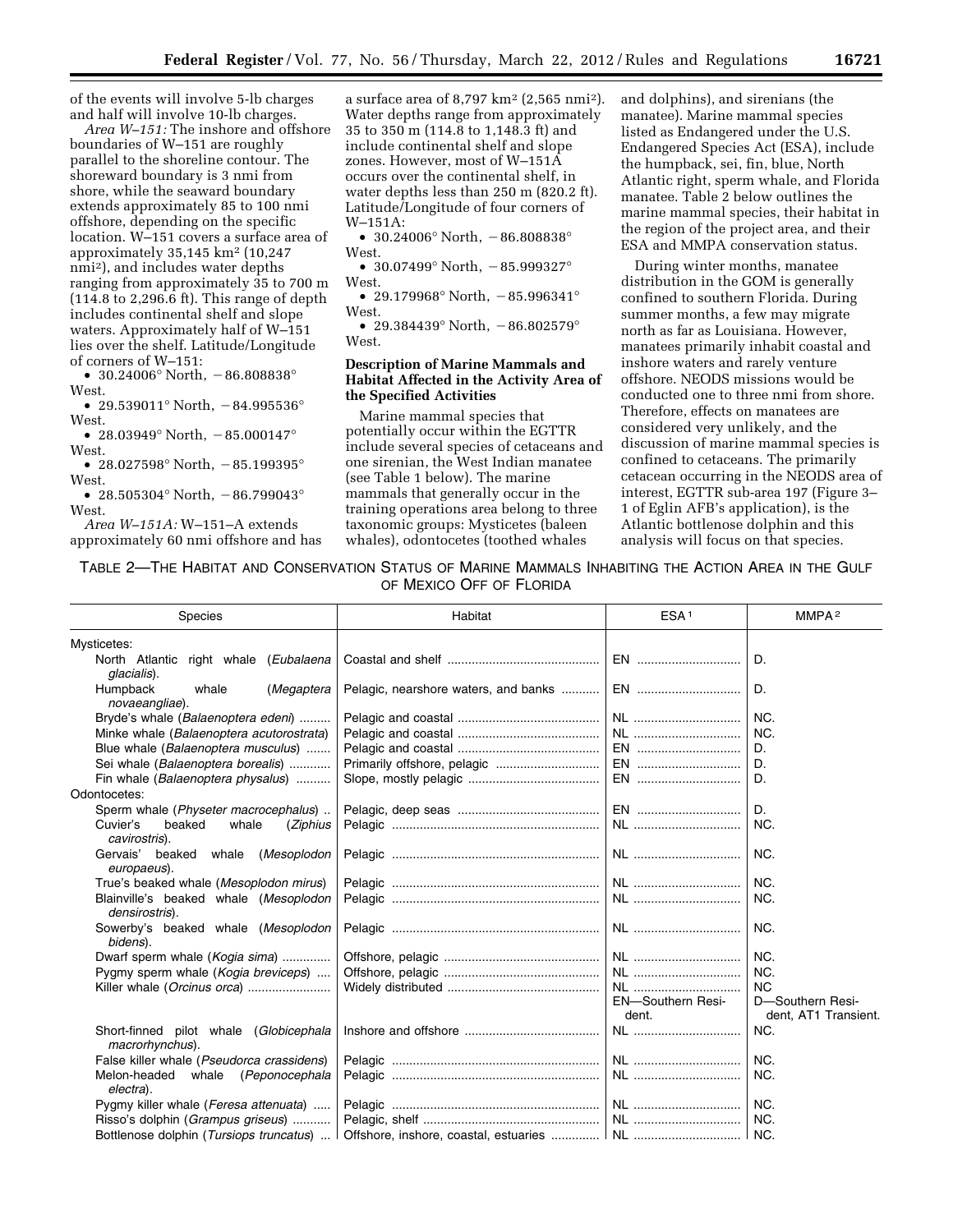of the events will involve 5-lb charges and half will involve 10-lb charges.

*Area W–151:* The inshore and offshore boundaries of W–151 are roughly parallel to the shoreline contour. The shoreward boundary is 3 nmi from shore, while the seaward boundary extends approximately 85 to 100 nmi offshore, depending on the specific location. W–151 covers a surface area of approximately 35,145 km2 (10,247 nmi2), and includes water depths ranging from approximately 35 to 700 m (114.8 to 2,296.6 ft). This range of depth includes continental shelf and slope waters. Approximately half of W–151 lies over the shelf. Latitude/Longitude of corners of W–151:

• 30.24006° North,  $-86.808838$ ° West.

• 29.539011° North,  $-84.995536$ ° West.

• 28.03949° North,  $-85.000147$ ° West.

• 28.027598° North,  $-85.199395$ ° West.

• 28.505304° North,  $-86.799043$ ° West.

*Area W–151A:* W–151–A extends approximately 60 nmi offshore and has

a surface area of  $8,797 \text{ km}^2$  (2,565 nmi<sup>2</sup>). Water depths range from approximately 35 to 350 m (114.8 to 1,148.3 ft) and include continental shelf and slope zones. However, most of W–151A occurs over the continental shelf, in water depths less than 250 m (820.2 ft). Latitude/Longitude of four corners of W–151A:

• 30.24006° North,  $-86.808838$ ° West

• 30.07499° North,  $-85.999327$ ° West.

• 29.179968° North,  $-85.996341$ ° West.

• 29.384439° North,  $-86.802579$ ° West.

### **Description of Marine Mammals and Habitat Affected in the Activity Area of the Specified Activities**

Marine mammal species that potentially occur within the EGTTR include several species of cetaceans and one sirenian, the West Indian manatee (see Table 1 below). The marine mammals that generally occur in the training operations area belong to three taxonomic groups: Mysticetes (baleen whales), odontocetes (toothed whales

and dolphins), and sirenians (the manatee). Marine mammal species listed as Endangered under the U.S. Endangered Species Act (ESA), include the humpback, sei, fin, blue, North Atlantic right, sperm whale, and Florida manatee. Table 2 below outlines the marine mammal species, their habitat in the region of the project area, and their ESA and MMPA conservation status.

During winter months, manatee distribution in the GOM is generally confined to southern Florida. During summer months, a few may migrate north as far as Louisiana. However, manatees primarily inhabit coastal and inshore waters and rarely venture offshore. NEODS missions would be conducted one to three nmi from shore. Therefore, effects on manatees are considered very unlikely, and the discussion of marine mammal species is confined to cetaceans. The primarily cetacean occurring in the NEODS area of interest, EGTTR sub-area 197 (Figure 3– 1 of Eglin AFB's application), is the Atlantic bottlenose dolphin and this analysis will focus on that species.

TABLE 2—THE HABITAT AND CONSERVATION STATUS OF MARINE MAMMALS INHABITING THE ACTION AREA IN THE GULF OF MEXICO OFF OF FLORIDA

| Species                                                   | Habitat                              | ESA <sup>1</sup>                  | MMPA <sup>2</sup>                        |
|-----------------------------------------------------------|--------------------------------------|-----------------------------------|------------------------------------------|
| Mysticetes:                                               |                                      |                                   |                                          |
| North Atlantic<br>right whale (Eubalaena<br>glacialis).   |                                      | EN                                | D.                                       |
| Humpback<br>whale<br>(Megaptera<br>novaeangliae).         | Pelagic, nearshore waters, and banks | EN                                | D.                                       |
| Bryde's whale (Balaenoptera edeni)                        |                                      | NL                                | NC.                                      |
| Minke whale (Balaenoptera acutorostrata)                  |                                      | NL                                | NC.                                      |
| Blue whale (Balaenoptera musculus)                        |                                      | EN                                | D.                                       |
| Sei whale (Balaenoptera borealis)                         | Primarily offshore, pelagic          | EN                                | D.                                       |
| Fin whale (Balaenoptera physalus)                         |                                      | EN                                | D.                                       |
| Odontocetes:                                              |                                      |                                   |                                          |
| Sperm whale (Physeter macrocephalus)                      |                                      | EN                                | D.                                       |
| Cuvier's<br>beaked<br>whale<br>(Ziphius<br>cavirostris).  |                                      |                                   | NC.                                      |
| Gervais'<br>beaked whale<br>(Mesoplodon<br>europaeus).    |                                      | NL                                | NC.                                      |
| True's beaked whale (Mesoplodon mirus)                    |                                      | NL                                | NC.                                      |
| Blainville's beaked whale (Mesoplodon<br>densirostris).   |                                      |                                   | NC.                                      |
| Sowerby's beaked whale (Mesoplodon<br>bidens).            |                                      | NL                                | NC.                                      |
| Dwarf sperm whale (Kogia sima)                            |                                      | NL                                | NC.                                      |
| Pygmy sperm whale (Kogia breviceps)                       |                                      | NL                                | NC.                                      |
| Killer whale (Orcinus orca)                               |                                      | NL                                | <b>NC</b>                                |
|                                                           |                                      | <b>EN-Southern Resi-</b><br>dent. | D-Southern Resi-<br>dent, AT1 Transient. |
| Short-finned pilot whale (Globicephala<br>macrorhynchus). |                                      | NL                                | NC.                                      |
| False killer whale (Pseudorca crassidens)                 |                                      |                                   | NC.                                      |
| whale (Peponocephala<br>Melon-headed<br>electra).         |                                      | NL                                | NC.                                      |
| Pygmy killer whale (Feresa attenuata)                     |                                      |                                   | NC.                                      |
| Risso's dolphin (Grampus griseus)                         |                                      |                                   | NC.                                      |
| Bottlenose dolphin (Tursiops truncatus)                   |                                      |                                   |                                          |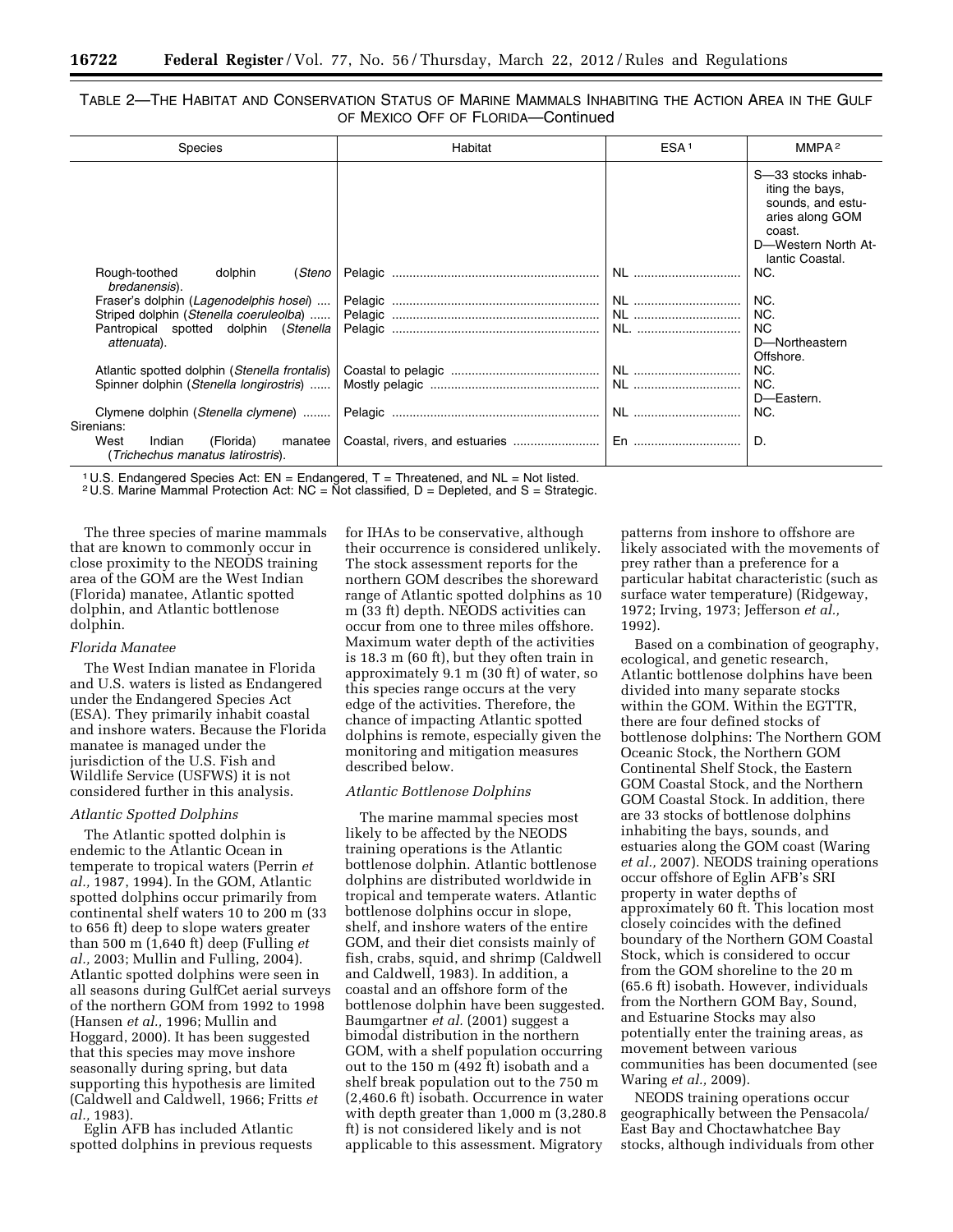# TABLE 2—THE HABITAT AND CONSERVATION STATUS OF MARINE MAMMALS INHABITING THE ACTION AREA IN THE GULF OF MEXICO OFF OF FLORIDA—Continued

| Species                                                                     | Habitat | ESA <sup>1</sup> | MMPA <sup>2</sup>                                                                                                                 |
|-----------------------------------------------------------------------------|---------|------------------|-----------------------------------------------------------------------------------------------------------------------------------|
|                                                                             |         |                  | S-33 stocks inhab-<br>iting the bays.<br>sounds, and estu-<br>aries along GOM<br>coast.<br>D-Western North At-<br>lantic Coastal. |
| Rough-toothed<br>(Steno<br>dolphin<br>bredanensis).                         | Pelagic | NL               | NC.                                                                                                                               |
| Fraser's dolphin (Lagenodelphis hosei)                                      | Pelagic | NL               | NC.                                                                                                                               |
| Striped dolphin (Stenella coeruleolba)                                      |         | NL               | NC.                                                                                                                               |
| Pantropical spotted dolphin (Stenella                                       | Pelagic | NL.              | <b>NC</b>                                                                                                                         |
| attenuata).                                                                 |         |                  | D-Northeastern                                                                                                                    |
|                                                                             |         |                  | Offshore.                                                                                                                         |
| Atlantic spotted dolphin (Stenella frontalis)                               |         |                  | NC.                                                                                                                               |
| Spinner dolphin (Stenella longirostris)                                     |         |                  | NC.                                                                                                                               |
|                                                                             |         |                  | D-Eastern.                                                                                                                        |
| Clymene dolphin (Stenella clymene)                                          |         | NL               | NC.                                                                                                                               |
| Sirenians:                                                                  |         |                  |                                                                                                                                   |
| West<br>Indian<br>(Florida)<br>manatee<br>(Trichechus manatus latirostris). |         | En               | D.                                                                                                                                |

<sup>1</sup> U.S. Endangered Species Act:  $EN = Endangered$ ,  $T = Threated$ , and  $NL = Not$  listed.

 $2 \text{ U.S.}$  Marine Mammal Protection Act: NC = Not classified, D = Depleted, and S = Strategic.

The three species of marine mammals that are known to commonly occur in close proximity to the NEODS training area of the GOM are the West Indian (Florida) manatee, Atlantic spotted dolphin, and Atlantic bottlenose dolphin.

### *Florida Manatee*

The West Indian manatee in Florida and U.S. waters is listed as Endangered under the Endangered Species Act (ESA). They primarily inhabit coastal and inshore waters. Because the Florida manatee is managed under the jurisdiction of the U.S. Fish and Wildlife Service (USFWS) it is not considered further in this analysis.

# *Atlantic Spotted Dolphins*

The Atlantic spotted dolphin is endemic to the Atlantic Ocean in temperate to tropical waters (Perrin *et al.,* 1987, 1994). In the GOM, Atlantic spotted dolphins occur primarily from continental shelf waters 10 to 200 m (33 to 656 ft) deep to slope waters greater than 500 m (1,640 ft) deep (Fulling *et al.,* 2003; Mullin and Fulling, 2004). Atlantic spotted dolphins were seen in all seasons during GulfCet aerial surveys of the northern GOM from 1992 to 1998 (Hansen *et al.,* 1996; Mullin and Hoggard, 2000). It has been suggested that this species may move inshore seasonally during spring, but data supporting this hypothesis are limited (Caldwell and Caldwell, 1966; Fritts *et al.,* 1983).

Eglin AFB has included Atlantic spotted dolphins in previous requests for IHAs to be conservative, although their occurrence is considered unlikely. The stock assessment reports for the northern GOM describes the shoreward range of Atlantic spotted dolphins as 10 m (33 ft) depth. NEODS activities can occur from one to three miles offshore. Maximum water depth of the activities is 18.3 m (60 ft), but they often train in approximately 9.1 m (30 ft) of water, so this species range occurs at the very edge of the activities. Therefore, the chance of impacting Atlantic spotted dolphins is remote, especially given the monitoring and mitigation measures described below.

#### *Atlantic Bottlenose Dolphins*

The marine mammal species most likely to be affected by the NEODS training operations is the Atlantic bottlenose dolphin. Atlantic bottlenose dolphins are distributed worldwide in tropical and temperate waters. Atlantic bottlenose dolphins occur in slope, shelf, and inshore waters of the entire GOM, and their diet consists mainly of fish, crabs, squid, and shrimp (Caldwell and Caldwell, 1983). In addition, a coastal and an offshore form of the bottlenose dolphin have been suggested. Baumgartner *et al.* (2001) suggest a bimodal distribution in the northern GOM, with a shelf population occurring out to the 150 m (492 ft) isobath and a shelf break population out to the 750 m (2,460.6 ft) isobath. Occurrence in water with depth greater than 1,000 m (3,280.8 ft) is not considered likely and is not applicable to this assessment. Migratory

patterns from inshore to offshore are likely associated with the movements of prey rather than a preference for a particular habitat characteristic (such as surface water temperature) (Ridgeway, 1972; Irving, 1973; Jefferson *et al.,*  1992).

Based on a combination of geography, ecological, and genetic research, Atlantic bottlenose dolphins have been divided into many separate stocks within the GOM. Within the EGTTR, there are four defined stocks of bottlenose dolphins: The Northern GOM Oceanic Stock, the Northern GOM Continental Shelf Stock, the Eastern GOM Coastal Stock, and the Northern GOM Coastal Stock. In addition, there are 33 stocks of bottlenose dolphins inhabiting the bays, sounds, and estuaries along the GOM coast (Waring *et al.,* 2007). NEODS training operations occur offshore of Eglin AFB's SRI property in water depths of approximately 60 ft. This location most closely coincides with the defined boundary of the Northern GOM Coastal Stock, which is considered to occur from the GOM shoreline to the 20 m (65.6 ft) isobath. However, individuals from the Northern GOM Bay, Sound, and Estuarine Stocks may also potentially enter the training areas, as movement between various communities has been documented (see Waring *et al.,* 2009).

NEODS training operations occur geographically between the Pensacola/ East Bay and Choctawhatchee Bay stocks, although individuals from other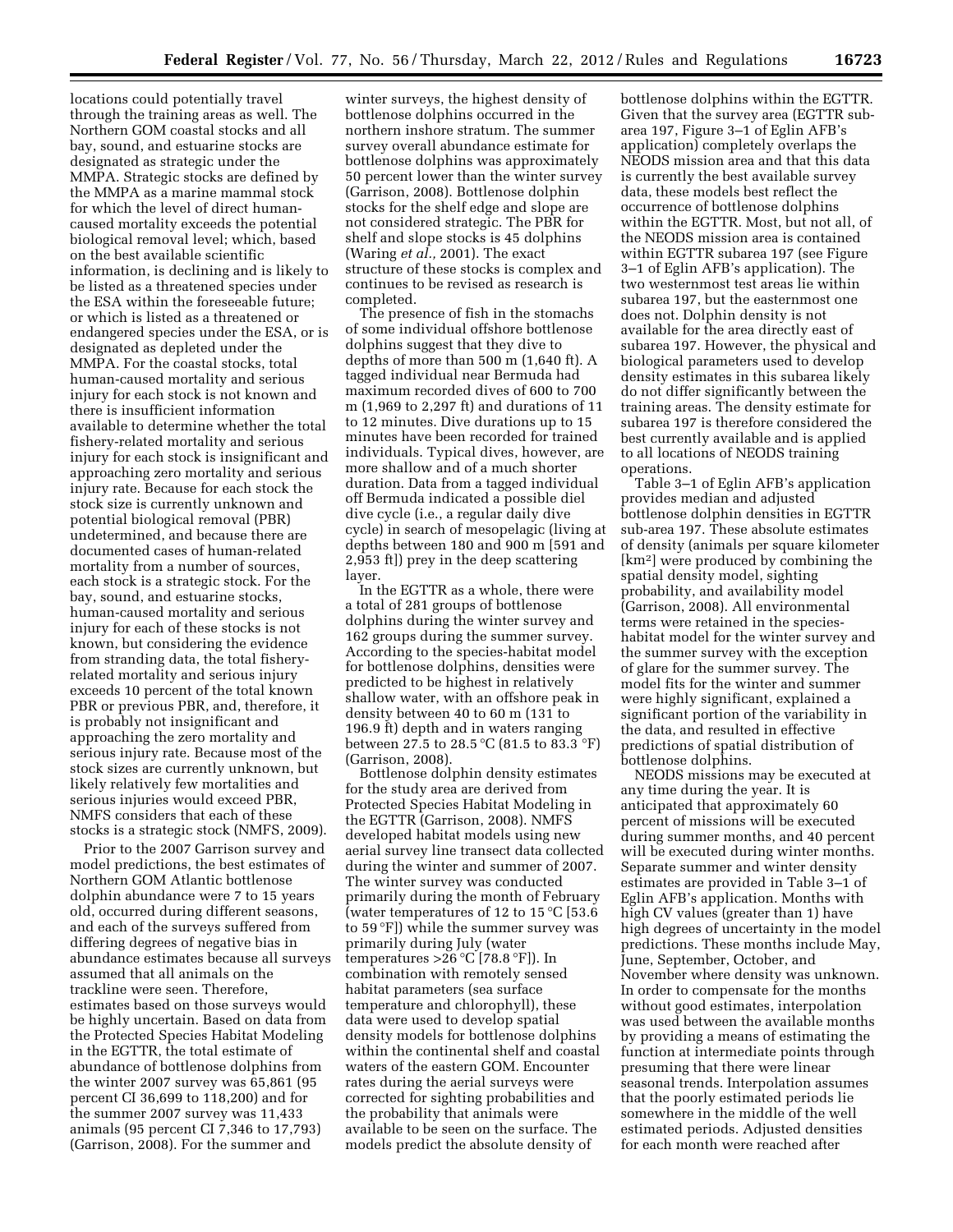locations could potentially travel through the training areas as well. The Northern GOM coastal stocks and all bay, sound, and estuarine stocks are designated as strategic under the MMPA. Strategic stocks are defined by the MMPA as a marine mammal stock for which the level of direct humancaused mortality exceeds the potential biological removal level; which, based on the best available scientific information, is declining and is likely to be listed as a threatened species under the ESA within the foreseeable future; or which is listed as a threatened or endangered species under the ESA, or is designated as depleted under the MMPA. For the coastal stocks, total human-caused mortality and serious injury for each stock is not known and there is insufficient information available to determine whether the total fishery-related mortality and serious injury for each stock is insignificant and approaching zero mortality and serious injury rate. Because for each stock the stock size is currently unknown and potential biological removal (PBR) undetermined, and because there are documented cases of human-related mortality from a number of sources, each stock is a strategic stock. For the bay, sound, and estuarine stocks, human-caused mortality and serious injury for each of these stocks is not known, but considering the evidence from stranding data, the total fisheryrelated mortality and serious injury exceeds 10 percent of the total known PBR or previous PBR, and, therefore, it is probably not insignificant and approaching the zero mortality and serious injury rate. Because most of the stock sizes are currently unknown, but likely relatively few mortalities and serious injuries would exceed PBR, NMFS considers that each of these stocks is a strategic stock (NMFS, 2009).

Prior to the 2007 Garrison survey and model predictions, the best estimates of Northern GOM Atlantic bottlenose dolphin abundance were 7 to 15 years old, occurred during different seasons, and each of the surveys suffered from differing degrees of negative bias in abundance estimates because all surveys assumed that all animals on the trackline were seen. Therefore, estimates based on those surveys would be highly uncertain. Based on data from the Protected Species Habitat Modeling in the EGTTR, the total estimate of abundance of bottlenose dolphins from the winter 2007 survey was 65,861 (95 percent CI 36,699 to 118,200) and for the summer 2007 survey was 11,433 animals (95 percent CI 7,346 to 17,793) (Garrison, 2008). For the summer and

winter surveys, the highest density of bottlenose dolphins occurred in the northern inshore stratum. The summer survey overall abundance estimate for bottlenose dolphins was approximately 50 percent lower than the winter survey (Garrison, 2008). Bottlenose dolphin stocks for the shelf edge and slope are not considered strategic. The PBR for shelf and slope stocks is 45 dolphins (Waring *et al.,* 2001). The exact structure of these stocks is complex and continues to be revised as research is completed.

The presence of fish in the stomachs of some individual offshore bottlenose dolphins suggest that they dive to depths of more than 500 m (1,640 ft). A tagged individual near Bermuda had maximum recorded dives of 600 to 700 m (1,969 to 2,297 ft) and durations of 11 to 12 minutes. Dive durations up to 15 minutes have been recorded for trained individuals. Typical dives, however, are more shallow and of a much shorter duration. Data from a tagged individual off Bermuda indicated a possible diel dive cycle (i.e., a regular daily dive cycle) in search of mesopelagic (living at depths between 180 and 900 m [591 and 2,953 ft]) prey in the deep scattering layer.

In the EGTTR as a whole, there were a total of 281 groups of bottlenose dolphins during the winter survey and 162 groups during the summer survey. According to the species-habitat model for bottlenose dolphins, densities were predicted to be highest in relatively shallow water, with an offshore peak in density between 40 to 60 m (131 to 196.9 ft) depth and in waters ranging between 27.5 to 28.5 °C (81.5 to 83.3 °F) (Garrison, 2008).

Bottlenose dolphin density estimates for the study area are derived from Protected Species Habitat Modeling in the EGTTR (Garrison, 2008). NMFS developed habitat models using new aerial survey line transect data collected during the winter and summer of 2007. The winter survey was conducted primarily during the month of February (water temperatures of 12 to 15 °C [53.6 to 59 °F]) while the summer survey was primarily during July (water temperatures  $>26^{\circ}C$  [78.8  $\circ$ F]). In combination with remotely sensed habitat parameters (sea surface temperature and chlorophyll), these data were used to develop spatial density models for bottlenose dolphins within the continental shelf and coastal waters of the eastern GOM. Encounter rates during the aerial surveys were corrected for sighting probabilities and the probability that animals were available to be seen on the surface. The models predict the absolute density of

bottlenose dolphins within the EGTTR. Given that the survey area (EGTTR subarea 197, Figure 3–1 of Eglin AFB's application) completely overlaps the NEODS mission area and that this data is currently the best available survey data, these models best reflect the occurrence of bottlenose dolphins within the EGTTR. Most, but not all, of the NEODS mission area is contained within EGTTR subarea 197 (see Figure 3–1 of Eglin AFB's application). The two westernmost test areas lie within subarea 197, but the easternmost one does not. Dolphin density is not available for the area directly east of subarea 197. However, the physical and biological parameters used to develop density estimates in this subarea likely do not differ significantly between the training areas. The density estimate for subarea 197 is therefore considered the best currently available and is applied to all locations of NEODS training operations.

Table 3–1 of Eglin AFB's application provides median and adjusted bottlenose dolphin densities in EGTTR sub-area 197. These absolute estimates of density (animals per square kilometer [km2] were produced by combining the spatial density model, sighting probability, and availability model (Garrison, 2008). All environmental terms were retained in the specieshabitat model for the winter survey and the summer survey with the exception of glare for the summer survey. The model fits for the winter and summer were highly significant, explained a significant portion of the variability in the data, and resulted in effective predictions of spatial distribution of bottlenose dolphins.

NEODS missions may be executed at any time during the year. It is anticipated that approximately 60 percent of missions will be executed during summer months, and 40 percent will be executed during winter months. Separate summer and winter density estimates are provided in Table 3–1 of Eglin AFB's application. Months with high CV values (greater than 1) have high degrees of uncertainty in the model predictions. These months include May, June, September, October, and November where density was unknown. In order to compensate for the months without good estimates, interpolation was used between the available months by providing a means of estimating the function at intermediate points through presuming that there were linear seasonal trends. Interpolation assumes that the poorly estimated periods lie somewhere in the middle of the well estimated periods. Adjusted densities for each month were reached after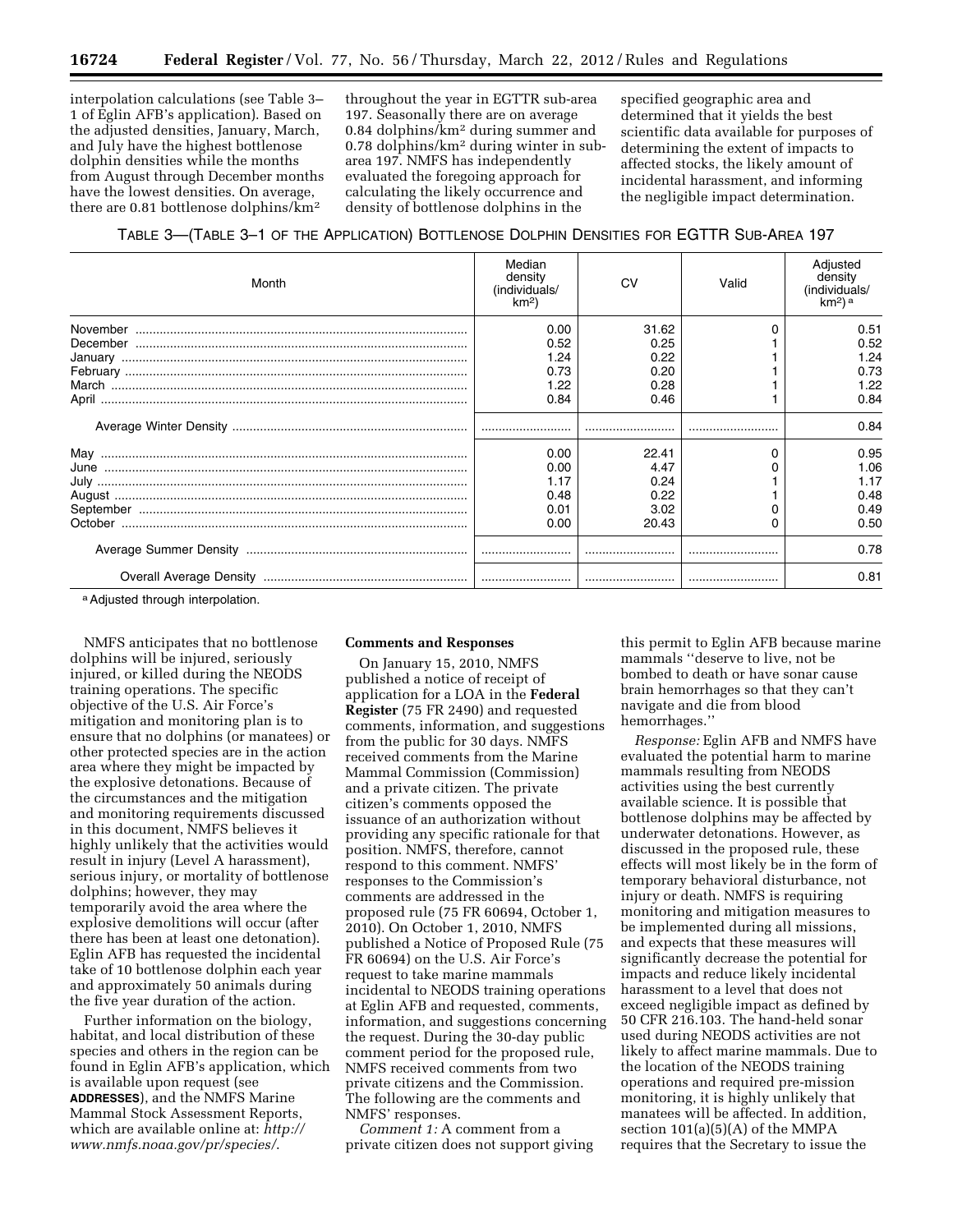interpolation calculations (see Table 3– 1 of Eglin AFB's application). Based on the adjusted densities, January, March, and July have the highest bottlenose dolphin densities while the months from August through December months have the lowest densities. On average, there are 0.81 bottlenose dolphins/km2

throughout the year in EGTTR sub-area 197. Seasonally there are on average 0.84 dolphins/km2 during summer and 0.78 dolphins/km2 during winter in subarea 197. NMFS has independently evaluated the foregoing approach for calculating the likely occurrence and density of bottlenose dolphins in the

specified geographic area and determined that it yields the best scientific data available for purposes of determining the extent of impacts to affected stocks, the likely amount of incidental harassment, and informing the negligible impact determination.

# TABLE 3—(TABLE 3–1 OF THE APPLICATION) BOTTLENOSE DOLPHIN DENSITIES FOR EGTTR SUB-AREA 197

| Month | Median<br>density<br>(individuals/<br>km <sup>2</sup> | CV    | Valid | Adjusted<br>density<br>(individuals/<br>km <sup>2</sup> ) <sup>a</sup> |
|-------|-------------------------------------------------------|-------|-------|------------------------------------------------------------------------|
|       | 0.00                                                  | 31.62 |       | 0.51                                                                   |
|       | 0.52                                                  | 0.25  |       | 0.52                                                                   |
|       | 1.24                                                  | 0.22  |       | 1.24                                                                   |
|       | 0.73                                                  | 0.20  |       | 0.73                                                                   |
|       | 1.22                                                  | 0.28  |       | 1.22                                                                   |
|       | 0.84                                                  | 0.46  |       | 0.84                                                                   |
|       |                                                       |       |       | 0.84                                                                   |
|       | 0.00                                                  | 22.41 | 0     | 0.95                                                                   |
|       | 0.00                                                  | 4.47  |       | 1.06                                                                   |
|       | 1.17                                                  | 0.24  |       | 1.17                                                                   |
|       | 0.48                                                  | 0.22  |       | 0.48                                                                   |
|       | 0.01                                                  | 3.02  |       | 0.49                                                                   |
|       | 0.00                                                  | 20.43 |       | 0.50                                                                   |
|       |                                                       |       |       | 0.78                                                                   |
|       |                                                       |       |       | 0.81                                                                   |

a Adjusted through interpolation.

NMFS anticipates that no bottlenose dolphins will be injured, seriously injured, or killed during the NEODS training operations. The specific objective of the U.S. Air Force's mitigation and monitoring plan is to ensure that no dolphins (or manatees) or other protected species are in the action area where they might be impacted by the explosive detonations. Because of the circumstances and the mitigation and monitoring requirements discussed in this document, NMFS believes it highly unlikely that the activities would result in injury (Level A harassment), serious injury, or mortality of bottlenose dolphins; however, they may temporarily avoid the area where the explosive demolitions will occur (after there has been at least one detonation). Eglin AFB has requested the incidental take of 10 bottlenose dolphin each year and approximately 50 animals during the five year duration of the action.

Further information on the biology, habitat, and local distribution of these species and others in the region can be found in Eglin AFB's application, which is available upon request (see **ADDRESSES**), and the NMFS Marine Mammal Stock Assessment Reports, which are available online at: *[http://](http://www.nmfs.noaa.gov/pr/species/)  [www.nmfs.noaa.gov/pr/species/](http://www.nmfs.noaa.gov/pr/species/)*.

#### **Comments and Responses**

On January 15, 2010, NMFS published a notice of receipt of application for a LOA in the **Federal Register** (75 FR 2490) and requested comments, information, and suggestions from the public for 30 days. NMFS received comments from the Marine Mammal Commission (Commission) and a private citizen. The private citizen's comments opposed the issuance of an authorization without providing any specific rationale for that position. NMFS, therefore, cannot respond to this comment. NMFS' responses to the Commission's comments are addressed in the proposed rule (75 FR 60694, October 1, 2010). On October 1, 2010, NMFS published a Notice of Proposed Rule (75 FR 60694) on the U.S. Air Force's request to take marine mammals incidental to NEODS training operations at Eglin AFB and requested, comments, information, and suggestions concerning the request. During the 30-day public comment period for the proposed rule, NMFS received comments from two private citizens and the Commission. The following are the comments and NMFS' responses.

*Comment 1:* A comment from a private citizen does not support giving

this permit to Eglin AFB because marine mammals ''deserve to live, not be bombed to death or have sonar cause brain hemorrhages so that they can't navigate and die from blood hemorrhages.''

*Response:* Eglin AFB and NMFS have evaluated the potential harm to marine mammals resulting from NEODS activities using the best currently available science. It is possible that bottlenose dolphins may be affected by underwater detonations. However, as discussed in the proposed rule, these effects will most likely be in the form of temporary behavioral disturbance, not injury or death. NMFS is requiring monitoring and mitigation measures to be implemented during all missions, and expects that these measures will significantly decrease the potential for impacts and reduce likely incidental harassment to a level that does not exceed negligible impact as defined by 50 CFR 216.103. The hand-held sonar used during NEODS activities are not likely to affect marine mammals. Due to the location of the NEODS training operations and required pre-mission monitoring, it is highly unlikely that manatees will be affected. In addition, section 101(a)(5)(A) of the MMPA requires that the Secretary to issue the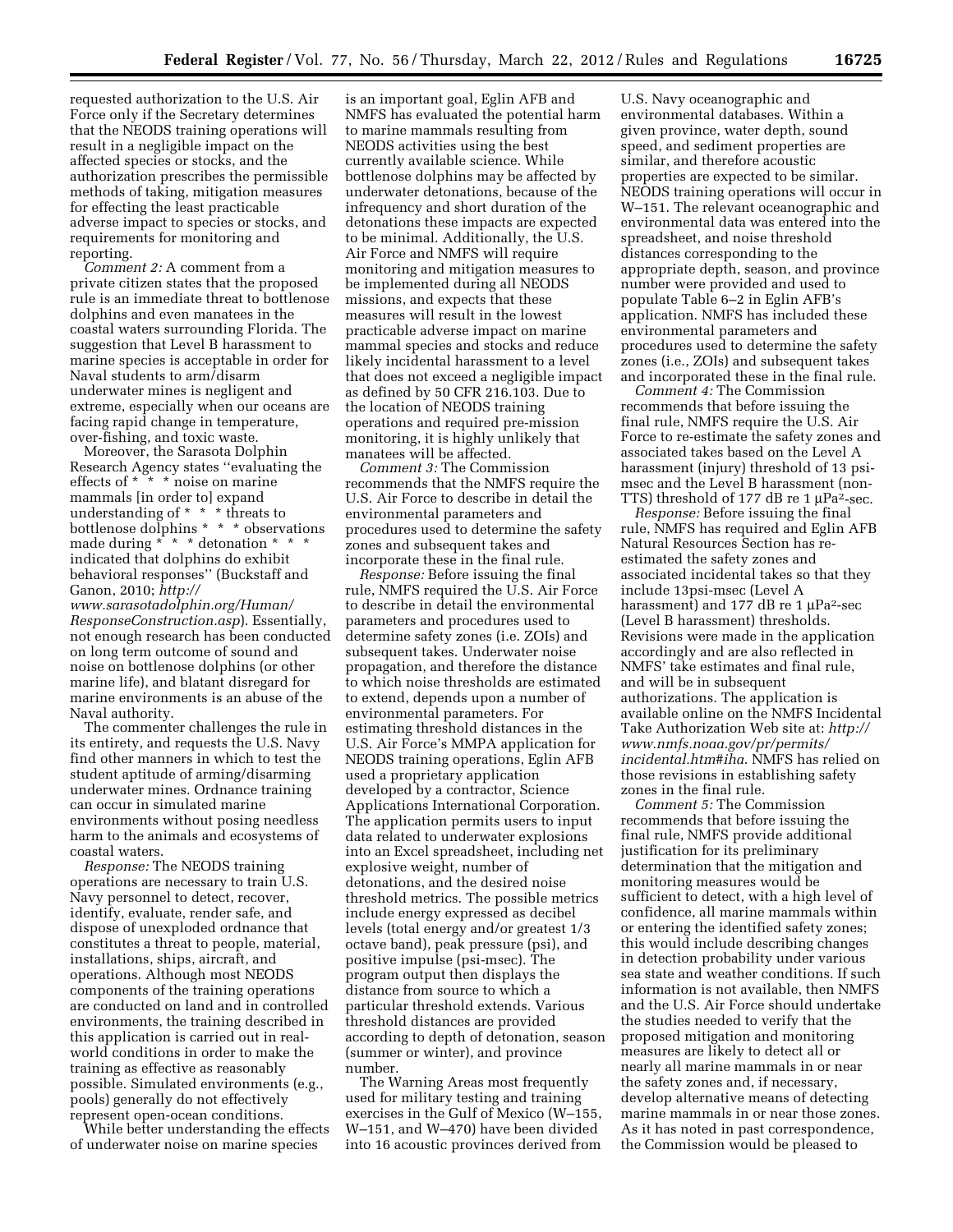requested authorization to the U.S. Air Force only if the Secretary determines that the NEODS training operations will result in a negligible impact on the affected species or stocks, and the authorization prescribes the permissible methods of taking, mitigation measures for effecting the least practicable adverse impact to species or stocks, and requirements for monitoring and reporting.

*Comment 2:* A comment from a private citizen states that the proposed rule is an immediate threat to bottlenose dolphins and even manatees in the coastal waters surrounding Florida. The suggestion that Level B harassment to marine species is acceptable in order for Naval students to arm/disarm underwater mines is negligent and extreme, especially when our oceans are facing rapid change in temperature, over-fishing, and toxic waste.

Moreover, the Sarasota Dolphin Research Agency states ''evaluating the effects of \* \* \* noise on marine mammals [in order to] expand understanding of \* \* \* threats to bottlenose dolphins \* \* \* observations made during \* \* \* detonation \* \* \* indicated that dolphins do exhibit behavioral responses'' (Buckstaff and Ganon, 2010; *[http://](http://www.sarasotadolphin.org/Human/ResponseConstruction.asp)* 

*[www.sarasotadolphin.org/Human/](http://www.sarasotadolphin.org/Human/ResponseConstruction.asp)  [ResponseConstruction.asp](http://www.sarasotadolphin.org/Human/ResponseConstruction.asp)*). Essentially, not enough research has been conducted on long term outcome of sound and noise on bottlenose dolphins (or other marine life), and blatant disregard for marine environments is an abuse of the Naval authority.

The commenter challenges the rule in its entirety, and requests the U.S. Navy find other manners in which to test the student aptitude of arming/disarming underwater mines. Ordnance training can occur in simulated marine environments without posing needless harm to the animals and ecosystems of coastal waters.

*Response:* The NEODS training operations are necessary to train U.S. Navy personnel to detect, recover, identify, evaluate, render safe, and dispose of unexploded ordnance that constitutes a threat to people, material, installations, ships, aircraft, and operations. Although most NEODS components of the training operations are conducted on land and in controlled environments, the training described in this application is carried out in realworld conditions in order to make the training as effective as reasonably possible. Simulated environments (e.g., pools) generally do not effectively represent open-ocean conditions.

While better understanding the effects of underwater noise on marine species

is an important goal, Eglin AFB and NMFS has evaluated the potential harm to marine mammals resulting from NEODS activities using the best currently available science. While bottlenose dolphins may be affected by underwater detonations, because of the infrequency and short duration of the detonations these impacts are expected to be minimal. Additionally, the U.S. Air Force and NMFS will require monitoring and mitigation measures to be implemented during all NEODS missions, and expects that these measures will result in the lowest practicable adverse impact on marine mammal species and stocks and reduce likely incidental harassment to a level that does not exceed a negligible impact as defined by 50 CFR 216.103. Due to the location of NEODS training operations and required pre-mission monitoring, it is highly unlikely that manatees will be affected.

*Comment 3:* The Commission recommends that the NMFS require the U.S. Air Force to describe in detail the environmental parameters and procedures used to determine the safety zones and subsequent takes and incorporate these in the final rule.

*Response:* Before issuing the final rule, NMFS required the U.S. Air Force to describe in detail the environmental parameters and procedures used to determine safety zones (i.e. ZOIs) and subsequent takes. Underwater noise propagation, and therefore the distance to which noise thresholds are estimated to extend, depends upon a number of environmental parameters. For estimating threshold distances in the U.S. Air Force's MMPA application for NEODS training operations, Eglin AFB used a proprietary application developed by a contractor, Science Applications International Corporation. The application permits users to input data related to underwater explosions into an Excel spreadsheet, including net explosive weight, number of detonations, and the desired noise threshold metrics. The possible metrics include energy expressed as decibel levels (total energy and/or greatest 1/3 octave band), peak pressure (psi), and positive impulse (psi-msec). The program output then displays the distance from source to which a particular threshold extends. Various threshold distances are provided according to depth of detonation, season (summer or winter), and province number.

The Warning Areas most frequently used for military testing and training exercises in the Gulf of Mexico (W–155, W–151, and W–470) have been divided into 16 acoustic provinces derived from

U.S. Navy oceanographic and environmental databases. Within a given province, water depth, sound speed, and sediment properties are similar, and therefore acoustic properties are expected to be similar. NEODS training operations will occur in W–151. The relevant oceanographic and environmental data was entered into the spreadsheet, and noise threshold distances corresponding to the appropriate depth, season, and province number were provided and used to populate Table 6–2 in Eglin AFB's application. NMFS has included these environmental parameters and procedures used to determine the safety zones (i.e., ZOIs) and subsequent takes and incorporated these in the final rule.

*Comment 4:* The Commission recommends that before issuing the final rule, NMFS require the U.S. Air Force to re-estimate the safety zones and associated takes based on the Level A harassment (injury) threshold of 13 psimsec and the Level B harassment (non-TTS) threshold of 177 dB re 1  $\mu$ Pa<sup>2</sup>-sec.

*Response:* Before issuing the final rule, NMFS has required and Eglin AFB Natural Resources Section has reestimated the safety zones and associated incidental takes so that they include 13psi-msec (Level A harassment) and 177 dB re 1  $\mu$ Pa<sup>2</sup>-sec (Level B harassment) thresholds. Revisions were made in the application accordingly and are also reflected in NMFS' take estimates and final rule, and will be in subsequent authorizations. The application is available online on the NMFS Incidental Take Authorization Web site at: *[http://](http://www.nmfs.noaa.gov/pr/permits/incidental.htm#iha)  [www.nmfs.noaa.gov/pr/permits/](http://www.nmfs.noaa.gov/pr/permits/incidental.htm#iha) [incidental.htm#iha](http://www.nmfs.noaa.gov/pr/permits/incidental.htm#iha)*. NMFS has relied on those revisions in establishing safety zones in the final rule.

*Comment 5:* The Commission recommends that before issuing the final rule, NMFS provide additional justification for its preliminary determination that the mitigation and monitoring measures would be sufficient to detect, with a high level of confidence, all marine mammals within or entering the identified safety zones; this would include describing changes in detection probability under various sea state and weather conditions. If such information is not available, then NMFS and the U.S. Air Force should undertake the studies needed to verify that the proposed mitigation and monitoring measures are likely to detect all or nearly all marine mammals in or near the safety zones and, if necessary, develop alternative means of detecting marine mammals in or near those zones. As it has noted in past correspondence, the Commission would be pleased to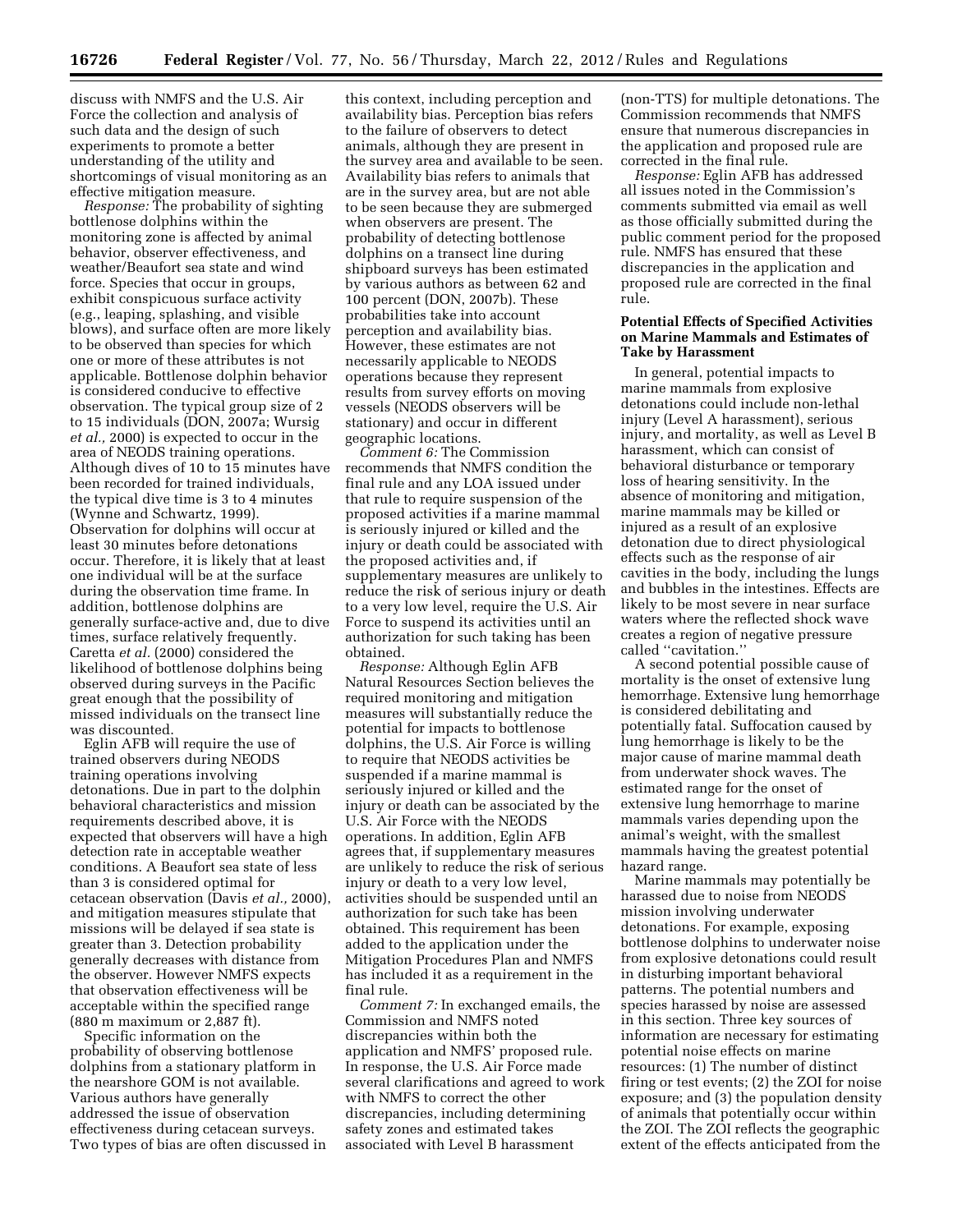discuss with NMFS and the U.S. Air Force the collection and analysis of such data and the design of such experiments to promote a better understanding of the utility and shortcomings of visual monitoring as an effective mitigation measure.

*Response:* The probability of sighting bottlenose dolphins within the monitoring zone is affected by animal behavior, observer effectiveness, and weather/Beaufort sea state and wind force. Species that occur in groups, exhibit conspicuous surface activity (e.g., leaping, splashing, and visible blows), and surface often are more likely to be observed than species for which one or more of these attributes is not applicable. Bottlenose dolphin behavior is considered conducive to effective observation. The typical group size of 2 to 15 individuals (DON, 2007a; Wursig *et al.,* 2000) is expected to occur in the area of NEODS training operations. Although dives of 10 to 15 minutes have been recorded for trained individuals, the typical dive time is 3 to 4 minutes (Wynne and Schwartz, 1999). Observation for dolphins will occur at least 30 minutes before detonations occur. Therefore, it is likely that at least one individual will be at the surface during the observation time frame. In addition, bottlenose dolphins are generally surface-active and, due to dive times, surface relatively frequently. Caretta *et al.* (2000) considered the likelihood of bottlenose dolphins being observed during surveys in the Pacific great enough that the possibility of missed individuals on the transect line was discounted.

Eglin AFB will require the use of trained observers during NEODS training operations involving detonations. Due in part to the dolphin behavioral characteristics and mission requirements described above, it is expected that observers will have a high detection rate in acceptable weather conditions. A Beaufort sea state of less than 3 is considered optimal for cetacean observation (Davis *et al.,* 2000), and mitigation measures stipulate that missions will be delayed if sea state is greater than 3. Detection probability generally decreases with distance from the observer. However NMFS expects that observation effectiveness will be acceptable within the specified range (880 m maximum or 2,887 ft).

Specific information on the probability of observing bottlenose dolphins from a stationary platform in the nearshore GOM is not available. Various authors have generally addressed the issue of observation effectiveness during cetacean surveys. Two types of bias are often discussed in

this context, including perception and availability bias. Perception bias refers to the failure of observers to detect animals, although they are present in the survey area and available to be seen. Availability bias refers to animals that are in the survey area, but are not able to be seen because they are submerged when observers are present. The probability of detecting bottlenose dolphins on a transect line during shipboard surveys has been estimated by various authors as between 62 and 100 percent (DON, 2007b). These probabilities take into account perception and availability bias. However, these estimates are not necessarily applicable to NEODS operations because they represent results from survey efforts on moving vessels (NEODS observers will be stationary) and occur in different geographic locations.

*Comment 6:* The Commission recommends that NMFS condition the final rule and any LOA issued under that rule to require suspension of the proposed activities if a marine mammal is seriously injured or killed and the injury or death could be associated with the proposed activities and, if supplementary measures are unlikely to reduce the risk of serious injury or death to a very low level, require the U.S. Air Force to suspend its activities until an authorization for such taking has been obtained.

*Response:* Although Eglin AFB Natural Resources Section believes the required monitoring and mitigation measures will substantially reduce the potential for impacts to bottlenose dolphins, the U.S. Air Force is willing to require that NEODS activities be suspended if a marine mammal is seriously injured or killed and the injury or death can be associated by the U.S. Air Force with the NEODS operations. In addition, Eglin AFB agrees that, if supplementary measures are unlikely to reduce the risk of serious injury or death to a very low level, activities should be suspended until an authorization for such take has been obtained. This requirement has been added to the application under the Mitigation Procedures Plan and NMFS has included it as a requirement in the final rule.

*Comment 7:* In exchanged emails, the Commission and NMFS noted discrepancies within both the application and NMFS' proposed rule. In response, the U.S. Air Force made several clarifications and agreed to work with NMFS to correct the other discrepancies, including determining safety zones and estimated takes associated with Level B harassment

(non-TTS) for multiple detonations. The Commission recommends that NMFS ensure that numerous discrepancies in the application and proposed rule are corrected in the final rule.

*Response:* Eglin AFB has addressed all issues noted in the Commission's comments submitted via email as well as those officially submitted during the public comment period for the proposed rule. NMFS has ensured that these discrepancies in the application and proposed rule are corrected in the final rule.

### **Potential Effects of Specified Activities on Marine Mammals and Estimates of Take by Harassment**

In general, potential impacts to marine mammals from explosive detonations could include non-lethal injury (Level A harassment), serious injury, and mortality, as well as Level B harassment, which can consist of behavioral disturbance or temporary loss of hearing sensitivity. In the absence of monitoring and mitigation, marine mammals may be killed or injured as a result of an explosive detonation due to direct physiological effects such as the response of air cavities in the body, including the lungs and bubbles in the intestines. Effects are likely to be most severe in near surface waters where the reflected shock wave creates a region of negative pressure called ''cavitation.''

A second potential possible cause of mortality is the onset of extensive lung hemorrhage. Extensive lung hemorrhage is considered debilitating and potentially fatal. Suffocation caused by lung hemorrhage is likely to be the major cause of marine mammal death from underwater shock waves. The estimated range for the onset of extensive lung hemorrhage to marine mammals varies depending upon the animal's weight, with the smallest mammals having the greatest potential hazard range.

Marine mammals may potentially be harassed due to noise from NEODS mission involving underwater detonations. For example, exposing bottlenose dolphins to underwater noise from explosive detonations could result in disturbing important behavioral patterns. The potential numbers and species harassed by noise are assessed in this section. Three key sources of information are necessary for estimating potential noise effects on marine resources: (1) The number of distinct firing or test events; (2) the ZOI for noise exposure; and (3) the population density of animals that potentially occur within the ZOI. The ZOI reflects the geographic extent of the effects anticipated from the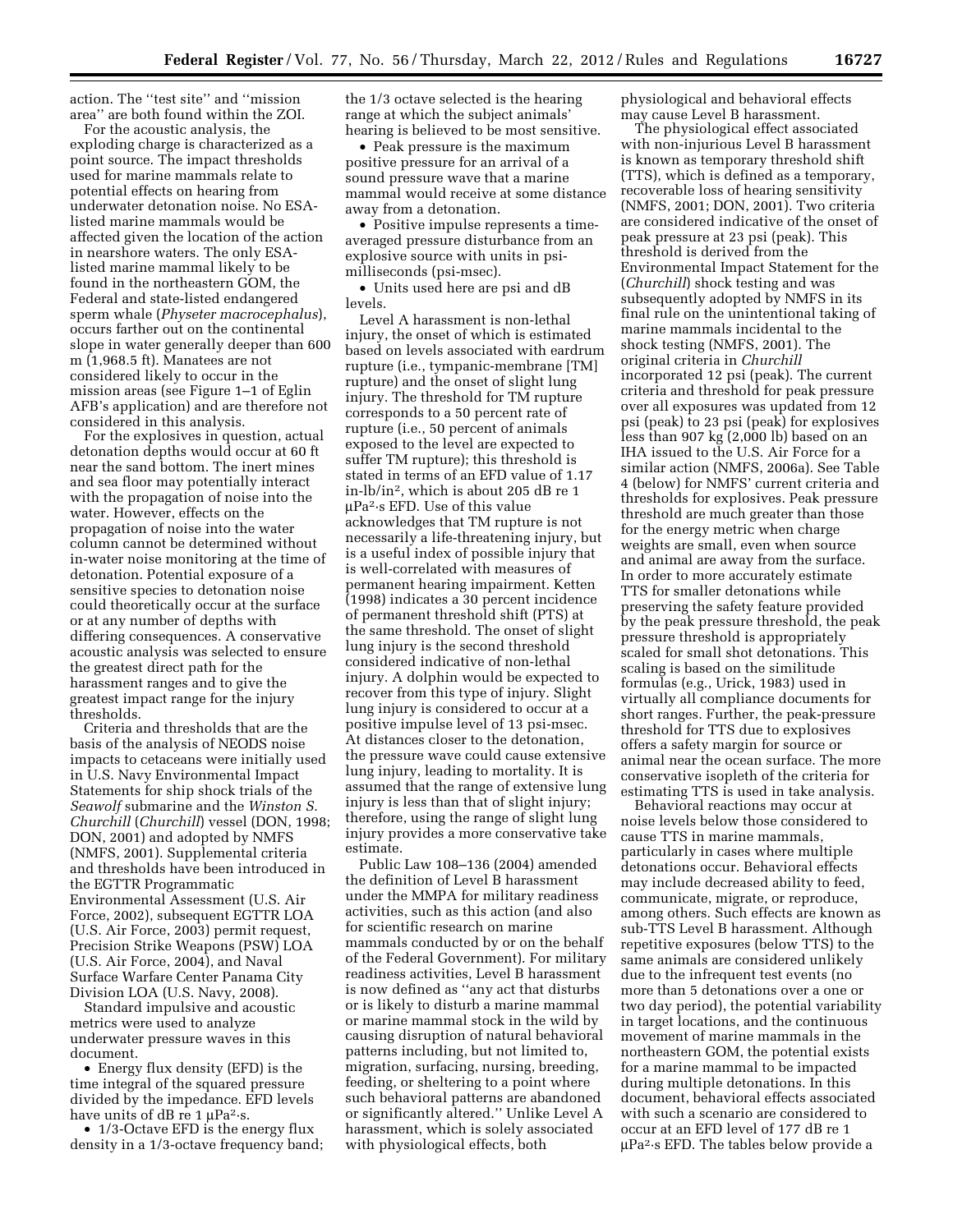action. The ''test site'' and ''mission area'' are both found within the ZOI.

For the acoustic analysis, the exploding charge is characterized as a point source. The impact thresholds used for marine mammals relate to potential effects on hearing from underwater detonation noise. No ESAlisted marine mammals would be affected given the location of the action in nearshore waters. The only ESAlisted marine mammal likely to be found in the northeastern GOM, the Federal and state-listed endangered sperm whale (*Physeter macrocephalus*), occurs farther out on the continental slope in water generally deeper than 600 m (1,968.5 ft). Manatees are not considered likely to occur in the mission areas (see Figure 1–1 of Eglin AFB's application) and are therefore not considered in this analysis.

For the explosives in question, actual detonation depths would occur at 60 ft near the sand bottom. The inert mines and sea floor may potentially interact with the propagation of noise into the water. However, effects on the propagation of noise into the water column cannot be determined without in-water noise monitoring at the time of detonation. Potential exposure of a sensitive species to detonation noise could theoretically occur at the surface or at any number of depths with differing consequences. A conservative acoustic analysis was selected to ensure the greatest direct path for the harassment ranges and to give the greatest impact range for the injury thresholds.

Criteria and thresholds that are the basis of the analysis of NEODS noise impacts to cetaceans were initially used in U.S. Navy Environmental Impact Statements for ship shock trials of the *Seawolf* submarine and the *Winston S. Churchill* (*Churchill*) vessel (DON, 1998; DON, 2001) and adopted by NMFS (NMFS, 2001). Supplemental criteria and thresholds have been introduced in the EGTTR Programmatic Environmental Assessment (U.S. Air Force, 2002), subsequent EGTTR LOA (U.S. Air Force, 2003) permit request, Precision Strike Weapons (PSW) LOA (U.S. Air Force, 2004), and Naval Surface Warfare Center Panama City Division LOA (U.S. Navy, 2008).

Standard impulsive and acoustic metrics were used to analyze underwater pressure waves in this document.

• Energy flux density (EFD) is the time integral of the squared pressure divided by the impedance. EFD levels have units of dB re 1  $\mu$ Pa<sup>2</sup>·s.

• 1/3-Octave EFD is the energy flux density in a 1/3-octave frequency band; the 1/3 octave selected is the hearing range at which the subject animals' hearing is believed to be most sensitive.

• Peak pressure is the maximum positive pressure for an arrival of a sound pressure wave that a marine mammal would receive at some distance away from a detonation.

• Positive impulse represents a timeaveraged pressure disturbance from an explosive source with units in psimilliseconds (psi-msec).

• Units used here are psi and dB levels.

Level A harassment is non-lethal injury, the onset of which is estimated based on levels associated with eardrum rupture (i.e., tympanic-membrane [TM] rupture) and the onset of slight lung injury. The threshold for TM rupture corresponds to a 50 percent rate of rupture (i.e., 50 percent of animals exposed to the level are expected to suffer TM rupture); this threshold is stated in terms of an EFD value of 1.17 in-lb/in2, which is about 205 dB re 1  $\mu$ Pa<sup>2</sup>·s EFD. Use of this value acknowledges that TM rupture is not necessarily a life-threatening injury, but is a useful index of possible injury that is well-correlated with measures of permanent hearing impairment. Ketten (1998) indicates a 30 percent incidence of permanent threshold shift (PTS) at the same threshold. The onset of slight lung injury is the second threshold considered indicative of non-lethal injury. A dolphin would be expected to recover from this type of injury. Slight lung injury is considered to occur at a positive impulse level of 13 psi-msec. At distances closer to the detonation, the pressure wave could cause extensive lung injury, leading to mortality. It is assumed that the range of extensive lung injury is less than that of slight injury; therefore, using the range of slight lung injury provides a more conservative take estimate.

Public Law 108–136 (2004) amended the definition of Level B harassment under the MMPA for military readiness activities, such as this action (and also for scientific research on marine mammals conducted by or on the behalf of the Federal Government). For military readiness activities, Level B harassment is now defined as ''any act that disturbs or is likely to disturb a marine mammal or marine mammal stock in the wild by causing disruption of natural behavioral patterns including, but not limited to, migration, surfacing, nursing, breeding, feeding, or sheltering to a point where such behavioral patterns are abandoned or significantly altered.'' Unlike Level A harassment, which is solely associated with physiological effects, both

physiological and behavioral effects may cause Level B harassment.

The physiological effect associated with non-injurious Level B harassment is known as temporary threshold shift (TTS), which is defined as a temporary, recoverable loss of hearing sensitivity (NMFS, 2001; DON, 2001). Two criteria are considered indicative of the onset of peak pressure at 23 psi (peak). This threshold is derived from the Environmental Impact Statement for the (*Churchill*) shock testing and was subsequently adopted by NMFS in its final rule on the unintentional taking of marine mammals incidental to the shock testing (NMFS, 2001). The original criteria in *Churchill*  incorporated 12 psi (peak). The current criteria and threshold for peak pressure over all exposures was updated from 12 psi (peak) to 23 psi (peak) for explosives less than 907 kg (2,000 lb) based on an IHA issued to the U.S. Air Force for a similar action (NMFS, 2006a). See Table 4 (below) for NMFS' current criteria and thresholds for explosives. Peak pressure threshold are much greater than those for the energy metric when charge weights are small, even when source and animal are away from the surface. In order to more accurately estimate TTS for smaller detonations while preserving the safety feature provided by the peak pressure threshold, the peak pressure threshold is appropriately scaled for small shot detonations. This scaling is based on the similitude formulas (e.g., Urick, 1983) used in virtually all compliance documents for short ranges. Further, the peak-pressure threshold for TTS due to explosives offers a safety margin for source or animal near the ocean surface. The more conservative isopleth of the criteria for estimating TTS is used in take analysis.

Behavioral reactions may occur at noise levels below those considered to cause TTS in marine mammals, particularly in cases where multiple detonations occur. Behavioral effects may include decreased ability to feed, communicate, migrate, or reproduce, among others. Such effects are known as sub-TTS Level B harassment. Although repetitive exposures (below TTS) to the same animals are considered unlikely due to the infrequent test events (no more than 5 detonations over a one or two day period), the potential variability in target locations, and the continuous movement of marine mammals in the northeastern GOM, the potential exists for a marine mammal to be impacted during multiple detonations. In this document, behavioral effects associated with such a scenario are considered to occur at an EFD level of 177 dB re 1  $\mu$ Pa<sup>2</sup>·s EFD. The tables below provide a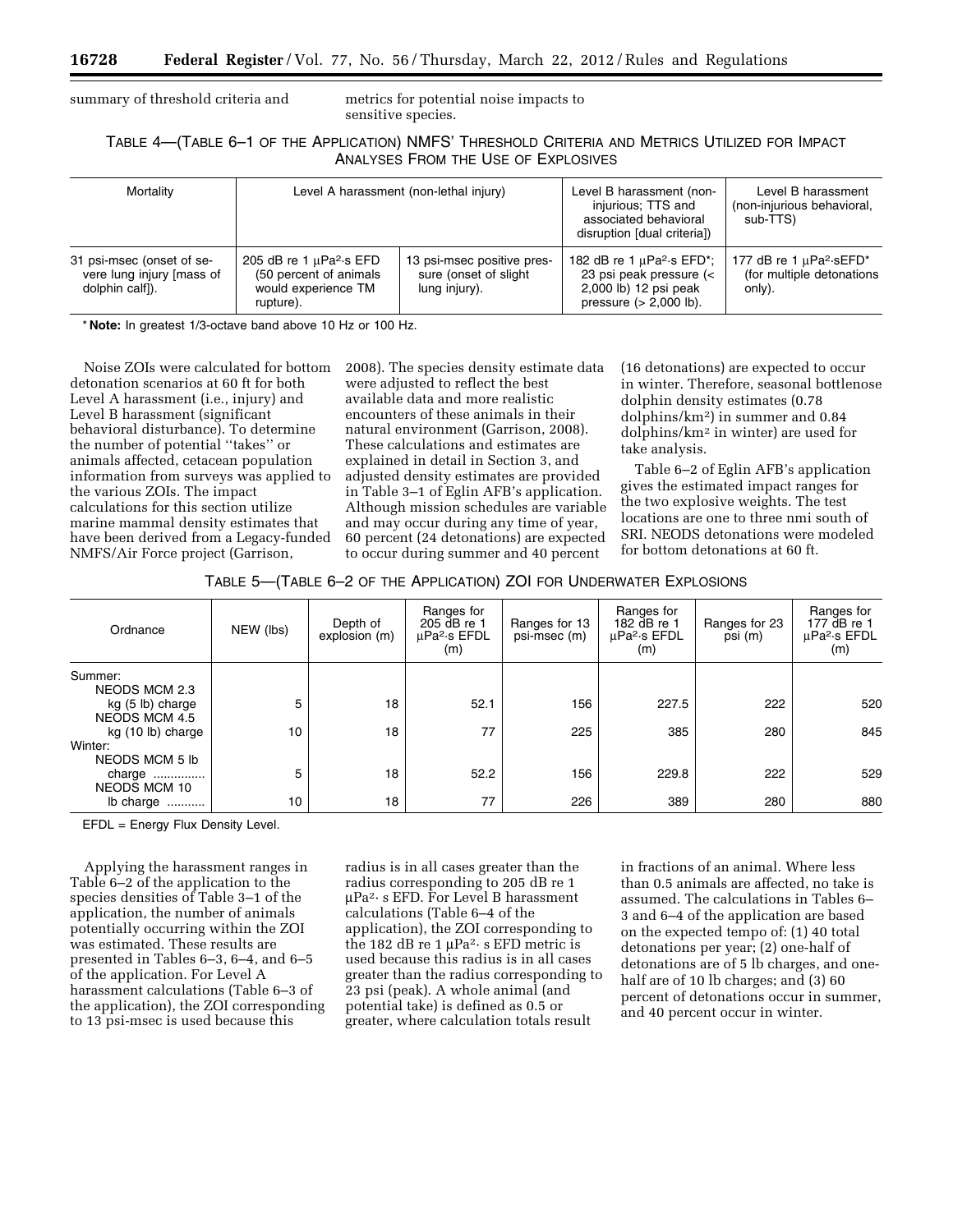summary of threshold criteria and metrics for potential noise impacts to sensitive species.

# TABLE 4—(TABLE 6–1 OF THE APPLICATION) NMFS' THRESHOLD CRITERIA AND METRICS UTILIZED FOR IMPACT ANALYSES FROM THE USE OF EXPLOSIVES

| Mortality                                                                 | Level A harassment (non-lethal injury)                                                                  |                                                                       | Level B harassment (non-<br>injurious; TTS and<br>associated behavioral<br>disruption [dual criteria])                                                               | Level B harassment<br>(non-injurious behavioral,<br>sub-TTS)               |
|---------------------------------------------------------------------------|---------------------------------------------------------------------------------------------------------|-----------------------------------------------------------------------|----------------------------------------------------------------------------------------------------------------------------------------------------------------------|----------------------------------------------------------------------------|
| 31 psi-msec (onset of se-<br>vere lung injury [mass of<br>dolphin calf]). | 205 dB re 1 $\mu$ Pa <sup>2</sup> ·s EFD<br>(50 percent of animals)<br>would experience TM<br>rupture). | 13 psi-msec positive pres-<br>sure (onset of slight)<br>lung injury). | 182 dB re 1 $\mu$ Pa <sup>2</sup> s EFD <sup>*</sup> ;<br>23 psi peak pressure $\left\langle \right\rangle$<br>2,000 lb) 12 psi peak<br>pressure $(> 2,000 \, lb)$ . | 177 dB re 1 µPa <sup>2</sup> ·sEFD*<br>(for multiple detonations<br>only). |

\* **Note:** In greatest 1/3-octave band above 10 Hz or 100 Hz.

Noise ZOIs were calculated for bottom detonation scenarios at 60 ft for both Level A harassment (i.e., injury) and Level B harassment (significant behavioral disturbance). To determine the number of potential ''takes'' or animals affected, cetacean population information from surveys was applied to the various ZOIs. The impact calculations for this section utilize marine mammal density estimates that have been derived from a Legacy-funded NMFS/Air Force project (Garrison,

2008). The species density estimate data were adjusted to reflect the best available data and more realistic encounters of these animals in their natural environment (Garrison, 2008). These calculations and estimates are explained in detail in Section 3, and adjusted density estimates are provided in Table 3–1 of Eglin AFB's application. Although mission schedules are variable and may occur during any time of year, 60 percent (24 detonations) are expected to occur during summer and 40 percent

(16 detonations) are expected to occur in winter. Therefore, seasonal bottlenose dolphin density estimates (0.78 dolphins/km2) in summer and 0.84 dolphins/km2 in winter) are used for take analysis.

Table 6–2 of Eglin AFB's application gives the estimated impact ranges for the two explosive weights. The test locations are one to three nmi south of SRI. NEODS detonations were modeled for bottom detonations at 60 ft.

| TABLE 5-(TABLE 6-2 OF THE APPLICATION) ZOI FOR UNDERWATER EXPLOSIONS |  |
|----------------------------------------------------------------------|--|
|----------------------------------------------------------------------|--|

| Ordnance                                        | NEW (lbs)       | Depth of<br>explosion (m) | Ranges for<br>205 dB re 1<br>uPa <sup>2</sup> ·s EFDL<br>(m) | Ranges for 13<br>psi-msec (m) | Ranges for<br>182 dB re 1<br>uPa <sup>2</sup> ·s EFDL<br>(m) | Ranges for 23<br>psi (m) | Ranges for<br>177 dB re 1<br>µPa <sup>2</sup> ·s EFDL<br>(m) |
|-------------------------------------------------|-----------------|---------------------------|--------------------------------------------------------------|-------------------------------|--------------------------------------------------------------|--------------------------|--------------------------------------------------------------|
| Summer:<br><b>NEODS MCM 2.3</b>                 |                 |                           |                                                              |                               |                                                              |                          |                                                              |
| kg (5 lb) charge<br><b>NEODS MCM 4.5</b>        | 5               | 18                        | 52.1                                                         | 156                           | 227.5                                                        | 222                      | 520                                                          |
| kg (10 lb) charge<br>Winter:                    | 10              | 18                        | 77                                                           | 225                           | 385                                                          | 280                      | 845                                                          |
| NEODS MCM 5 lb<br>charge<br><b>NEODS MCM 10</b> | 5               | 18                        | 52.2                                                         | 156                           | 229.8                                                        | 222                      | 529                                                          |
| lb charge                                       | 10 <sup>°</sup> | 18                        | 77                                                           | 226                           | 389                                                          | 280                      | 880                                                          |

EFDL = Energy Flux Density Level.

Applying the harassment ranges in Table 6–2 of the application to the species densities of Table 3–1 of the application, the number of animals potentially occurring within the ZOI was estimated. These results are presented in Tables 6–3, 6–4, and 6–5 of the application. For Level A harassment calculations (Table 6–3 of the application), the ZOI corresponding to 13 psi-msec is used because this

radius is in all cases greater than the radius corresponding to 205 dB re 1  $\mu$ Pa<sup>2</sup>· s EFD. For Level B harassment calculations (Table 6–4 of the application), the ZOI corresponding to the 182 dB re 1  $\mu$ Pa<sup>2</sup>· s EFD metric is used because this radius is in all cases greater than the radius corresponding to 23 psi (peak). A whole animal (and potential take) is defined as 0.5 or greater, where calculation totals result

in fractions of an animal. Where less than 0.5 animals are affected, no take is assumed. The calculations in Tables 6– 3 and 6–4 of the application are based on the expected tempo of: (1) 40 total detonations per year; (2) one-half of detonations are of 5 lb charges, and onehalf are of 10 lb charges; and (3) 60 percent of detonations occur in summer, and 40 percent occur in winter.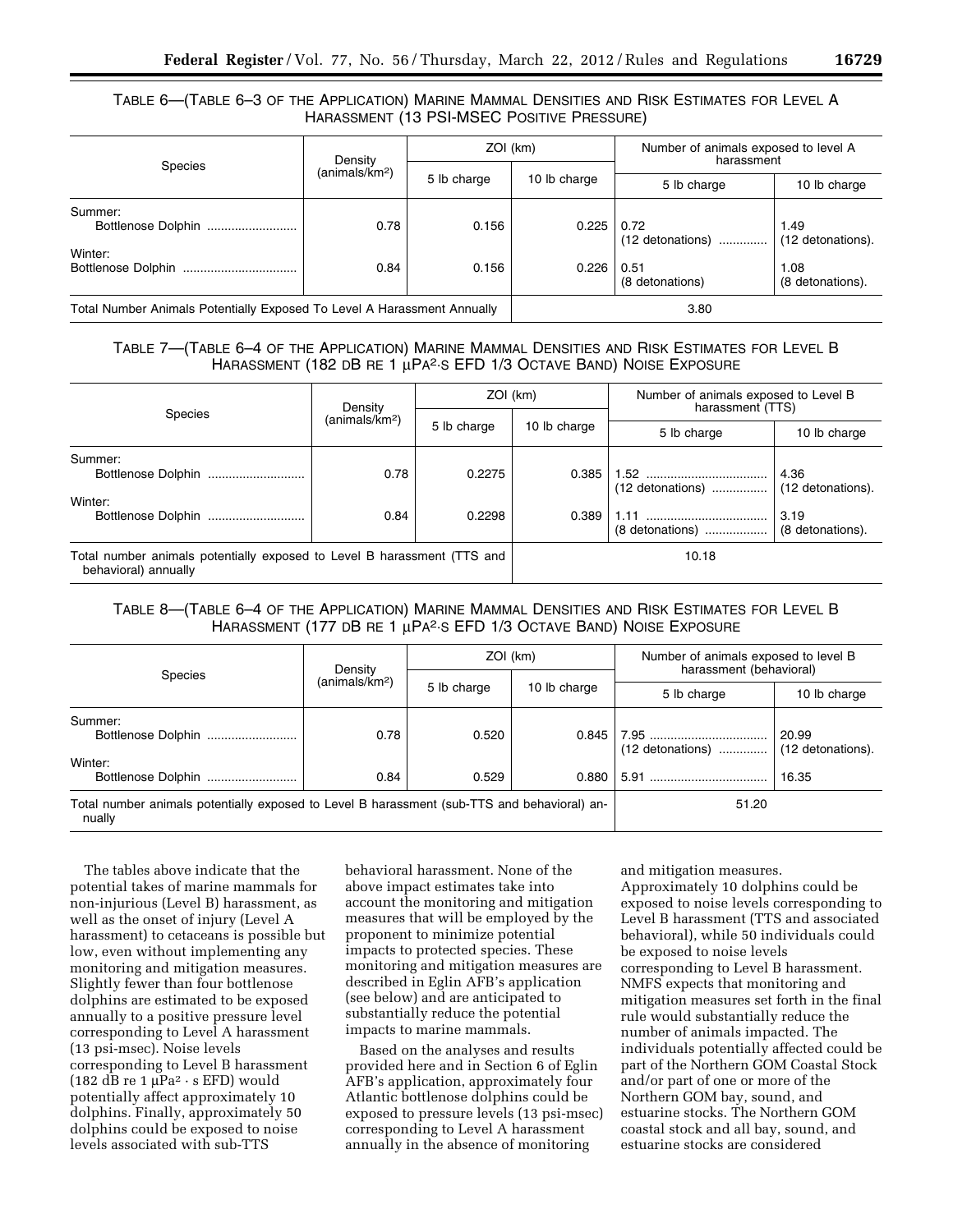# TABLE 6—(TABLE 6–3 OF THE APPLICATION) MARINE MAMMAL DENSITIES AND RISK ESTIMATES FOR LEVEL A HARASSMENT (13 PSI-MSEC POSITIVE PRESSURE)

|                                                                         | Density                    | ZOI (km)                    |       | Number of animals exposed to level A<br>harassment |                           |
|-------------------------------------------------------------------------|----------------------------|-----------------------------|-------|----------------------------------------------------|---------------------------|
| <b>Species</b>                                                          | (animals/km <sup>2</sup> ) | 5 lb charge<br>10 lb charge |       | 5 lb charge                                        | 10 lb charge              |
| Summer:<br>Bottlenose Dolphin                                           | 0.78                       | 0.156                       | 0.225 | 0.72<br>$(12$ detonations)                         | 1.49<br>(12 detonations). |
| Winter:                                                                 | 0.84                       | 0.156                       | 0.226 | 0.51<br>(8 detonations)                            | 1.08<br>(8 detonations).  |
| Total Number Animals Potentially Exposed To Level A Harassment Annually |                            |                             | 3.80  |                                                    |                           |

# TABLE 7—(TABLE 6–4 OF THE APPLICATION) MARINE MAMMAL DENSITIES AND RISK ESTIMATES FOR LEVEL B HARASSMENT (182 DB RE 1 μPA2·S EFD 1/3 OCTAVE BAND) NOISE EXPOSURE

| Species                                                                                         | Density                    | ZOI (km)    |              | Number of animals exposed to Level B<br>harassment (TTS) |                           |
|-------------------------------------------------------------------------------------------------|----------------------------|-------------|--------------|----------------------------------------------------------|---------------------------|
|                                                                                                 | (animals/km <sup>2</sup> ) | 5 lb charge | 10 lb charge | 5 lb charge                                              | 10 lb charge              |
| Summer:<br>Winter:                                                                              | 0.78                       | 0.2275      | 0.385        | $(12$ detonations)                                       | 4.36<br>(12 detonations). |
|                                                                                                 | 0.84                       | 0.2298      | 0.389        | (8 detonations)                                          | 3.19<br>(8 detonations).  |
| Total number animals potentially exposed to Level B harassment (TTS and<br>behavioral) annually |                            |             | 10.18        |                                                          |                           |

# TABLE 8—(TABLE 6–4 OF THE APPLICATION) MARINE MAMMAL DENSITIES AND RISK ESTIMATES FOR LEVEL B HARASSMENT (177 DB RE 1 μPA2·S EFD 1/3 OCTAVE BAND) NOISE EXPOSURE

| Species                                                                                               | Density                    | ZOI (km)    |              | Number of animals exposed to level B<br>harassment (behavioral) |                            |
|-------------------------------------------------------------------------------------------------------|----------------------------|-------------|--------------|-----------------------------------------------------------------|----------------------------|
|                                                                                                       | (animals/km <sup>2</sup> ) |             |              |                                                                 |                            |
|                                                                                                       |                            | 5 lb charge | 10 lb charge | 5 lb charge                                                     | 10 lb charge               |
| Summer:<br>Bottlenose Dolphin                                                                         | 0.78                       | 0.520       | 0.845        | $(12$ detonations)                                              | 20.99<br>(12 detonations). |
| Winter:<br>Bottlenose Dolphin                                                                         | 0.84                       | 0.529       | 0.880        |                                                                 | 16.35                      |
| Total number animals potentially exposed to Level B harassment (sub-TTS and behavioral) an-<br>nually |                            |             |              | 51.20                                                           |                            |

The tables above indicate that the potential takes of marine mammals for non-injurious (Level B) harassment, as well as the onset of injury (Level A harassment) to cetaceans is possible but low, even without implementing any monitoring and mitigation measures. Slightly fewer than four bottlenose dolphins are estimated to be exposed annually to a positive pressure level corresponding to Level A harassment (13 psi-msec). Noise levels corresponding to Level B harassment (182 dB re 1  $\mu$ Pa<sup>2</sup> · s EFD) would potentially affect approximately 10 dolphins. Finally, approximately 50 dolphins could be exposed to noise levels associated with sub-TTS

behavioral harassment. None of the above impact estimates take into account the monitoring and mitigation measures that will be employed by the proponent to minimize potential impacts to protected species. These monitoring and mitigation measures are described in Eglin AFB's application (see below) and are anticipated to substantially reduce the potential impacts to marine mammals.

Based on the analyses and results provided here and in Section 6 of Eglin AFB's application, approximately four Atlantic bottlenose dolphins could be exposed to pressure levels (13 psi-msec) corresponding to Level A harassment annually in the absence of monitoring

and mitigation measures. Approximately 10 dolphins could be exposed to noise levels corresponding to Level B harassment (TTS and associated behavioral), while 50 individuals could be exposed to noise levels corresponding to Level B harassment. NMFS expects that monitoring and mitigation measures set forth in the final rule would substantially reduce the number of animals impacted. The individuals potentially affected could be part of the Northern GOM Coastal Stock and/or part of one or more of the Northern GOM bay, sound, and estuarine stocks. The Northern GOM coastal stock and all bay, sound, and estuarine stocks are considered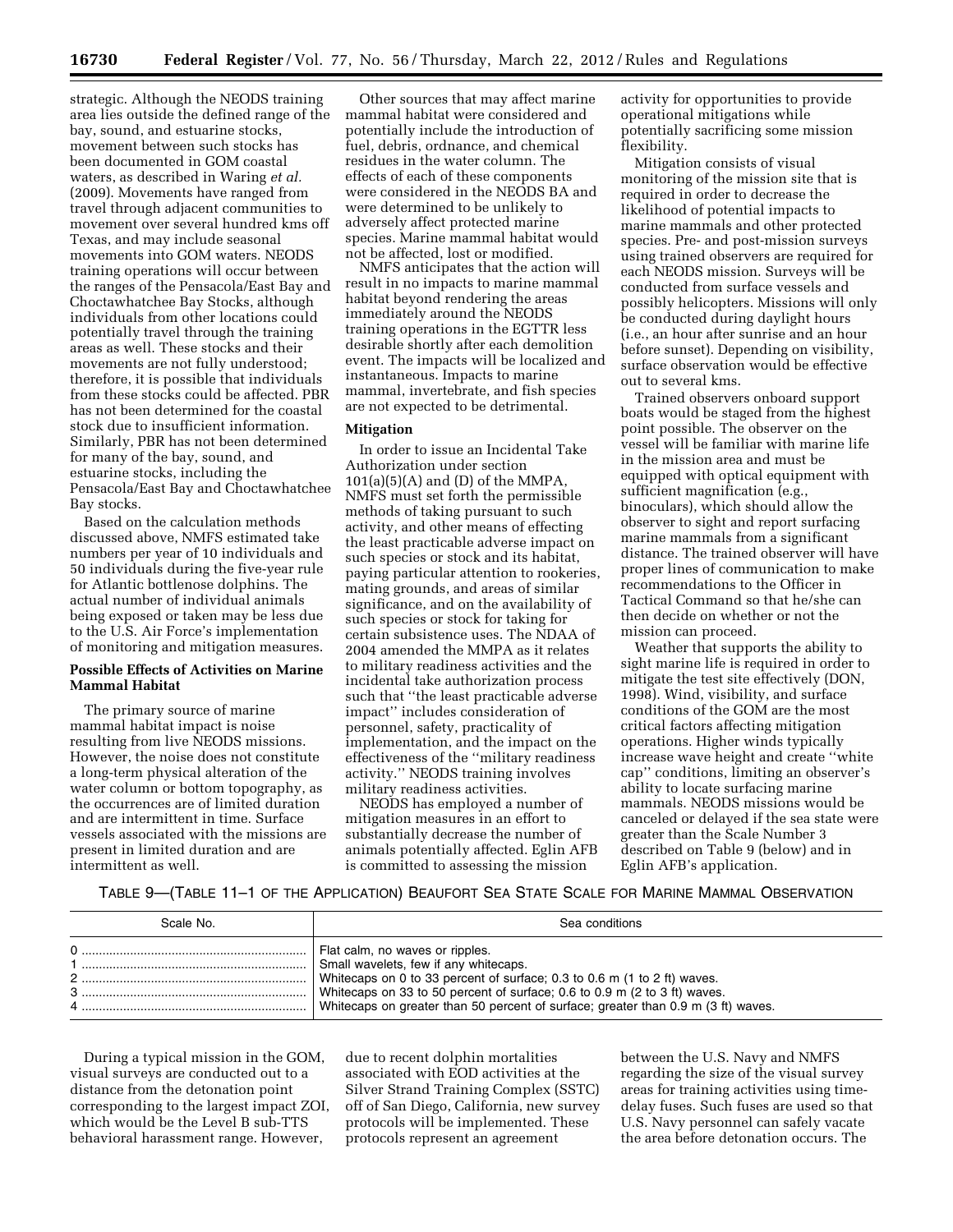strategic. Although the NEODS training area lies outside the defined range of the bay, sound, and estuarine stocks, movement between such stocks has been documented in GOM coastal waters, as described in Waring *et al.*  (2009). Movements have ranged from travel through adjacent communities to movement over several hundred kms off Texas, and may include seasonal movements into GOM waters. NEODS training operations will occur between the ranges of the Pensacola/East Bay and Choctawhatchee Bay Stocks, although individuals from other locations could potentially travel through the training areas as well. These stocks and their movements are not fully understood; therefore, it is possible that individuals from these stocks could be affected. PBR has not been determined for the coastal stock due to insufficient information. Similarly, PBR has not been determined for many of the bay, sound, and estuarine stocks, including the Pensacola/East Bay and Choctawhatchee Bay stocks.

Based on the calculation methods discussed above, NMFS estimated take numbers per year of 10 individuals and 50 individuals during the five-year rule for Atlantic bottlenose dolphins. The actual number of individual animals being exposed or taken may be less due to the U.S. Air Force's implementation of monitoring and mitigation measures.

### **Possible Effects of Activities on Marine Mammal Habitat**

The primary source of marine mammal habitat impact is noise resulting from live NEODS missions. However, the noise does not constitute a long-term physical alteration of the water column or bottom topography, as the occurrences are of limited duration and are intermittent in time. Surface vessels associated with the missions are present in limited duration and are intermittent as well.

Other sources that may affect marine mammal habitat were considered and potentially include the introduction of fuel, debris, ordnance, and chemical residues in the water column. The effects of each of these components were considered in the NEODS BA and were determined to be unlikely to adversely affect protected marine species. Marine mammal habitat would not be affected, lost or modified.

NMFS anticipates that the action will result in no impacts to marine mammal habitat beyond rendering the areas immediately around the NEODS training operations in the EGTTR less desirable shortly after each demolition event. The impacts will be localized and instantaneous. Impacts to marine mammal, invertebrate, and fish species are not expected to be detrimental.

### **Mitigation**

In order to issue an Incidental Take Authorization under section  $101(a)(5)(A)$  and (D) of the MMPA, NMFS must set forth the permissible methods of taking pursuant to such activity, and other means of effecting the least practicable adverse impact on such species or stock and its habitat, paying particular attention to rookeries, mating grounds, and areas of similar significance, and on the availability of such species or stock for taking for certain subsistence uses. The NDAA of 2004 amended the MMPA as it relates to military readiness activities and the incidental take authorization process such that ''the least practicable adverse impact'' includes consideration of personnel, safety, practicality of implementation, and the impact on the effectiveness of the ''military readiness activity.'' NEODS training involves military readiness activities.

NEODS has employed a number of mitigation measures in an effort to substantially decrease the number of animals potentially affected. Eglin AFB is committed to assessing the mission

activity for opportunities to provide operational mitigations while potentially sacrificing some mission flexibility.

Mitigation consists of visual monitoring of the mission site that is required in order to decrease the likelihood of potential impacts to marine mammals and other protected species. Pre- and post-mission surveys using trained observers are required for each NEODS mission. Surveys will be conducted from surface vessels and possibly helicopters. Missions will only be conducted during daylight hours (i.e., an hour after sunrise and an hour before sunset). Depending on visibility, surface observation would be effective out to several kms.

Trained observers onboard support boats would be staged from the highest point possible. The observer on the vessel will be familiar with marine life in the mission area and must be equipped with optical equipment with sufficient magnification (e.g., binoculars), which should allow the observer to sight and report surfacing marine mammals from a significant distance. The trained observer will have proper lines of communication to make recommendations to the Officer in Tactical Command so that he/she can then decide on whether or not the mission can proceed.

Weather that supports the ability to sight marine life is required in order to mitigate the test site effectively (DON, 1998). Wind, visibility, and surface conditions of the GOM are the most critical factors affecting mitigation operations. Higher winds typically increase wave height and create ''white cap'' conditions, limiting an observer's ability to locate surfacing marine mammals. NEODS missions would be canceled or delayed if the sea state were greater than the Scale Number 3 described on Table 9 (below) and in Eglin AFB's application.

### TABLE 9—(TABLE 11–1 OF THE APPLICATION) BEAUFORT SEA STATE SCALE FOR MARINE MAMMAL OBSERVATION

| Scale No.          | Sea conditions                                                                                                                                                                                                                                                                                                            |
|--------------------|---------------------------------------------------------------------------------------------------------------------------------------------------------------------------------------------------------------------------------------------------------------------------------------------------------------------------|
| $\mathcal{P}$<br>3 | Flat calm, no waves or ripples.<br>Small wavelets, few if any whitecaps.<br>White caps on 0 to 33 percent of surface; 0.3 to 0.6 m (1 to 2 ft) waves.<br>White caps on 33 to 50 percent of surface; 0.6 to 0.9 m (2 to 3 ft) waves.<br>White caps on greater than 50 percent of surface; greater than 0.9 m (3 ft) waves. |

During a typical mission in the GOM, visual surveys are conducted out to a distance from the detonation point corresponding to the largest impact ZOI, which would be the Level B sub-TTS behavioral harassment range. However,

due to recent dolphin mortalities associated with EOD activities at the Silver Strand Training Complex (SSTC) off of San Diego, California, new survey protocols will be implemented. These protocols represent an agreement

between the U.S. Navy and NMFS regarding the size of the visual survey areas for training activities using timedelay fuses. Such fuses are used so that U.S. Navy personnel can safely vacate the area before detonation occurs. The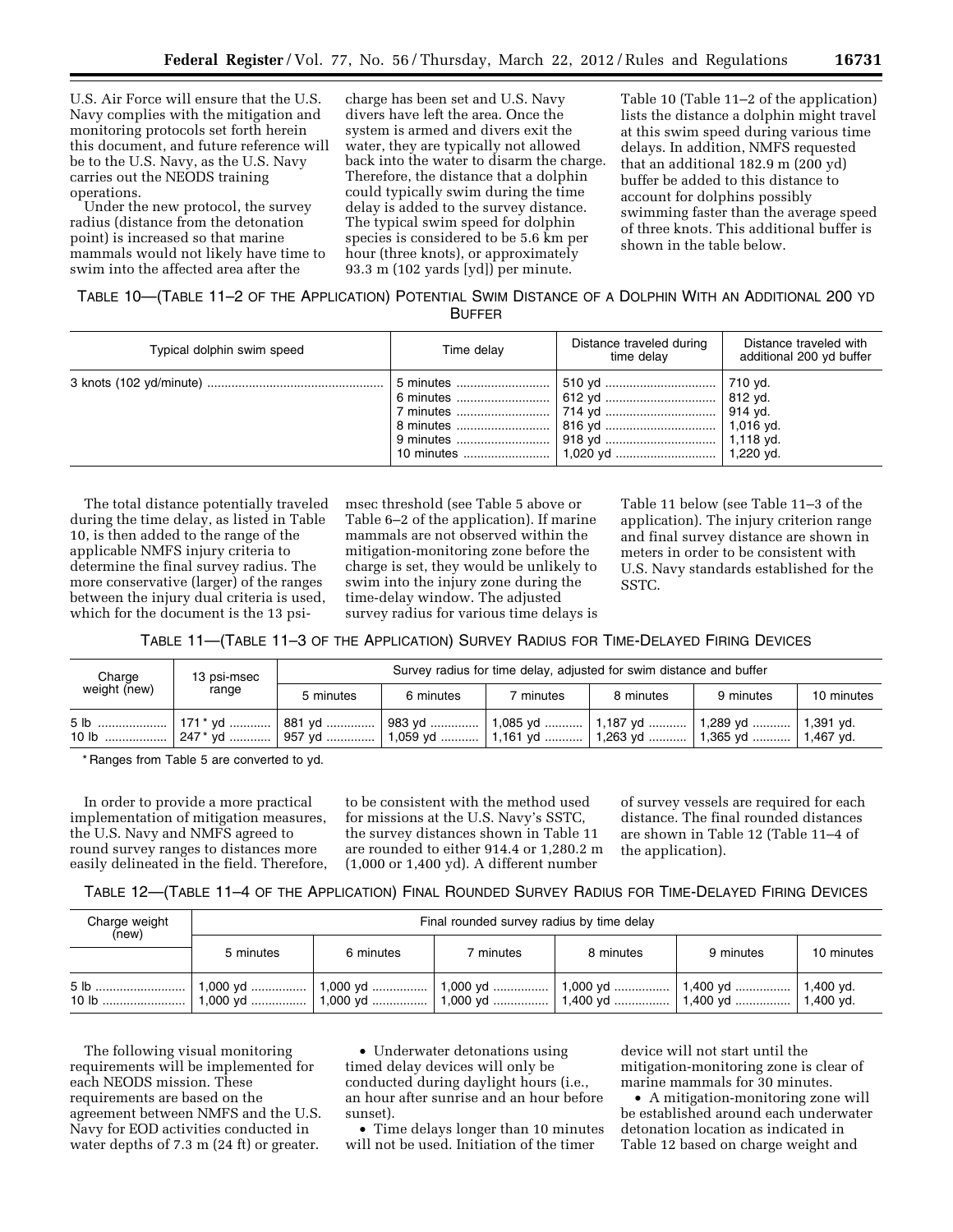U.S. Air Force will ensure that the U.S. Navy complies with the mitigation and monitoring protocols set forth herein this document, and future reference will be to the U.S. Navy, as the U.S. Navy carries out the NEODS training operations.

Under the new protocol, the survey radius (distance from the detonation point) is increased so that marine mammals would not likely have time to swim into the affected area after the

charge has been set and U.S. Navy divers have left the area. Once the system is armed and divers exit the water, they are typically not allowed back into the water to disarm the charge. Therefore, the distance that a dolphin could typically swim during the time delay is added to the survey distance. The typical swim speed for dolphin species is considered to be 5.6 km per hour (three knots), or approximately 93.3 m (102 yards [yd]) per minute.

Table 10 (Table 11–2 of the application) lists the distance a dolphin might travel at this swim speed during various time delays. In addition, NMFS requested that an additional 182.9 m (200 yd) buffer be added to this distance to account for dolphins possibly swimming faster than the average speed of three knots. This additional buffer is shown in the table below.

# TABLE 10—(TABLE 11–2 OF THE APPLICATION) POTENTIAL SWIM DISTANCE OF A DOLPHIN WITH AN ADDITIONAL 200 YD BUFFER

| Typical dolphin swim speed | Time delay | Distance traveled during<br>time delav | Distance traveled with<br>additional 200 yd buffer |
|----------------------------|------------|----------------------------------------|----------------------------------------------------|
|                            |            |                                        | 1,220 vd.                                          |

The total distance potentially traveled during the time delay, as listed in Table 10, is then added to the range of the applicable NMFS injury criteria to determine the final survey radius. The more conservative (larger) of the ranges between the injury dual criteria is used, which for the document is the 13 psimsec threshold (see Table 5 above or Table 6–2 of the application). If marine mammals are not observed within the mitigation-monitoring zone before the charge is set, they would be unlikely to swim into the injury zone during the time-delay window. The adjusted survey radius for various time delays is Table 11 below (see Table 11–3 of the application). The injury criterion range and final survey distance are shown in meters in order to be consistent with U.S. Navy standards established for the SSTC.

TABLE 11—(TABLE 11–3 OF THE APPLICATION) SURVEY RADIUS FOR TIME-DELAYED FIRING DEVICES

| Charge<br>weight (new)                                                                | 13 psi-msec<br>range | Survey radius for time delay, adjusted for swim distance and buffer |           |           |           |           |            |  |
|---------------------------------------------------------------------------------------|----------------------|---------------------------------------------------------------------|-----------|-----------|-----------|-----------|------------|--|
|                                                                                       |                      | 5 minutes                                                           | 6 minutes | 7 minutes | 8 minutes | 9 minutes | 10 minutes |  |
| .5 lb    171* yd    881 yd    983 yd    1,085 yd    1,187 yd    1,289 yd    1,391 yd. |                      |                                                                     |           |           |           |           |            |  |

\* Ranges from Table 5 are converted to yd.

In order to provide a more practical implementation of mitigation measures, the U.S. Navy and NMFS agreed to round survey ranges to distances more easily delineated in the field. Therefore,

to be consistent with the method used for missions at the U.S. Navy's SSTC, the survey distances shown in Table 11 are rounded to either 914.4 or 1,280.2 m (1,000 or 1,400 yd). A different number

of survey vessels are required for each distance. The final rounded distances are shown in Table 12 (Table 11–4 of the application).

# TABLE 12—(TABLE 11–4 OF THE APPLICATION) FINAL ROUNDED SURVEY RADIUS FOR TIME-DELAYED FIRING DEVICES

| Charge weight<br>(new) | Final rounded survey radius by time delay |           |           |           |           |            |  |  |  |
|------------------------|-------------------------------------------|-----------|-----------|-----------|-----------|------------|--|--|--|
|                        | 5 minutes                                 | 6 minutes | 7 minutes | 8 minutes | 9 minutes | 10 minutes |  |  |  |
|                        |                                           |           |           |           |           |            |  |  |  |

The following visual monitoring requirements will be implemented for each NEODS mission. These requirements are based on the agreement between NMFS and the U.S. Navy for EOD activities conducted in water depths of 7.3 m (24 ft) or greater.

• Underwater detonations using timed delay devices will only be conducted during daylight hours (i.e., an hour after sunrise and an hour before sunset).

• Time delays longer than 10 minutes will not be used. Initiation of the timer

device will not start until the mitigation-monitoring zone is clear of marine mammals for 30 minutes.

• A mitigation-monitoring zone will be established around each underwater detonation location as indicated in Table 12 based on charge weight and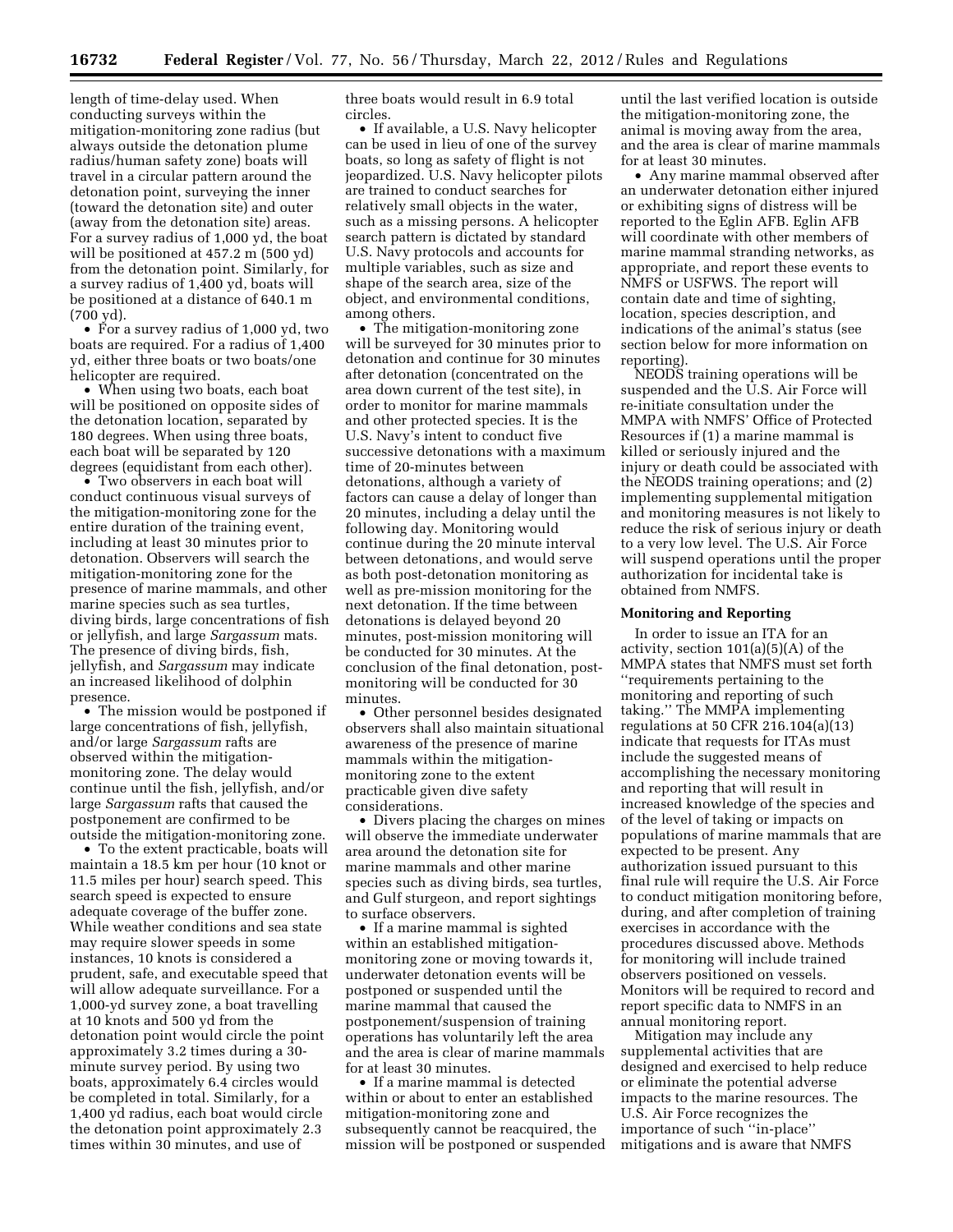length of time-delay used. When conducting surveys within the mitigation-monitoring zone radius (but always outside the detonation plume radius/human safety zone) boats will travel in a circular pattern around the detonation point, surveying the inner (toward the detonation site) and outer (away from the detonation site) areas. For a survey radius of 1,000 yd, the boat will be positioned at 457.2 m (500 yd) from the detonation point. Similarly, for a survey radius of 1,400 yd, boats will be positioned at a distance of 640.1 m (700 yd).

• For a survey radius of 1,000 yd, two boats are required. For a radius of 1,400 yd, either three boats or two boats/one helicopter are required.

• When using two boats, each boat will be positioned on opposite sides of the detonation location, separated by 180 degrees. When using three boats, each boat will be separated by 120 degrees (equidistant from each other).

• Two observers in each boat will conduct continuous visual surveys of the mitigation-monitoring zone for the entire duration of the training event, including at least 30 minutes prior to detonation. Observers will search the mitigation-monitoring zone for the presence of marine mammals, and other marine species such as sea turtles, diving birds, large concentrations of fish or jellyfish, and large *Sargassum* mats. The presence of diving birds, fish, jellyfish, and *Sargassum* may indicate an increased likelihood of dolphin presence.

• The mission would be postponed if large concentrations of fish, jellyfish, and/or large *Sargassum* rafts are observed within the mitigationmonitoring zone. The delay would continue until the fish, jellyfish, and/or large *Sargassum* rafts that caused the postponement are confirmed to be outside the mitigation-monitoring zone.

• To the extent practicable, boats will maintain a 18.5 km per hour (10 knot or 11.5 miles per hour) search speed. This search speed is expected to ensure adequate coverage of the buffer zone. While weather conditions and sea state may require slower speeds in some instances, 10 knots is considered a prudent, safe, and executable speed that will allow adequate surveillance. For a 1,000-yd survey zone, a boat travelling at 10 knots and 500 yd from the detonation point would circle the point approximately 3.2 times during a 30 minute survey period. By using two boats, approximately 6.4 circles would be completed in total. Similarly, for a 1,400 yd radius, each boat would circle the detonation point approximately 2.3 times within 30 minutes, and use of

three boats would result in 6.9 total circles.

• If available, a U.S. Navy helicopter can be used in lieu of one of the survey boats, so long as safety of flight is not jeopardized. U.S. Navy helicopter pilots are trained to conduct searches for relatively small objects in the water, such as a missing persons. A helicopter search pattern is dictated by standard U.S. Navy protocols and accounts for multiple variables, such as size and shape of the search area, size of the object, and environmental conditions, among others.

• The mitigation-monitoring zone will be surveyed for 30 minutes prior to detonation and continue for 30 minutes after detonation (concentrated on the area down current of the test site), in order to monitor for marine mammals and other protected species. It is the U.S. Navy's intent to conduct five successive detonations with a maximum time of 20-minutes between detonations, although a variety of factors can cause a delay of longer than 20 minutes, including a delay until the following day. Monitoring would continue during the 20 minute interval between detonations, and would serve as both post-detonation monitoring as well as pre-mission monitoring for the next detonation. If the time between detonations is delayed beyond 20 minutes, post-mission monitoring will be conducted for 30 minutes. At the conclusion of the final detonation, postmonitoring will be conducted for 30 minutes.

• Other personnel besides designated observers shall also maintain situational awareness of the presence of marine mammals within the mitigationmonitoring zone to the extent practicable given dive safety considerations.

• Divers placing the charges on mines will observe the immediate underwater area around the detonation site for marine mammals and other marine species such as diving birds, sea turtles, and Gulf sturgeon, and report sightings to surface observers.

• If a marine mammal is sighted within an established mitigationmonitoring zone or moving towards it, underwater detonation events will be postponed or suspended until the marine mammal that caused the postponement/suspension of training operations has voluntarily left the area and the area is clear of marine mammals for at least 30 minutes.

• If a marine mammal is detected within or about to enter an established mitigation-monitoring zone and subsequently cannot be reacquired, the mission will be postponed or suspended

until the last verified location is outside the mitigation-monitoring zone, the animal is moving away from the area, and the area is clear of marine mammals for at least 30 minutes.

• Any marine mammal observed after an underwater detonation either injured or exhibiting signs of distress will be reported to the Eglin AFB. Eglin AFB will coordinate with other members of marine mammal stranding networks, as appropriate, and report these events to NMFS or USFWS. The report will contain date and time of sighting, location, species description, and indications of the animal's status (see section below for more information on reporting).

NEODS training operations will be suspended and the U.S. Air Force will re-initiate consultation under the MMPA with NMFS' Office of Protected Resources if (1) a marine mammal is killed or seriously injured and the injury or death could be associated with the NEODS training operations; and (2) implementing supplemental mitigation and monitoring measures is not likely to reduce the risk of serious injury or death to a very low level. The U.S. Air Force will suspend operations until the proper authorization for incidental take is obtained from NMFS.

# **Monitoring and Reporting**

In order to issue an ITA for an activity, section 101(a)(5)(A) of the MMPA states that NMFS must set forth ''requirements pertaining to the monitoring and reporting of such taking.'' The MMPA implementing regulations at 50 CFR 216.104(a)(13) indicate that requests for ITAs must include the suggested means of accomplishing the necessary monitoring and reporting that will result in increased knowledge of the species and of the level of taking or impacts on populations of marine mammals that are expected to be present. Any authorization issued pursuant to this final rule will require the U.S. Air Force to conduct mitigation monitoring before, during, and after completion of training exercises in accordance with the procedures discussed above. Methods for monitoring will include trained observers positioned on vessels. Monitors will be required to record and report specific data to NMFS in an annual monitoring report.

Mitigation may include any supplemental activities that are designed and exercised to help reduce or eliminate the potential adverse impacts to the marine resources. The U.S. Air Force recognizes the importance of such ''in-place'' mitigations and is aware that NMFS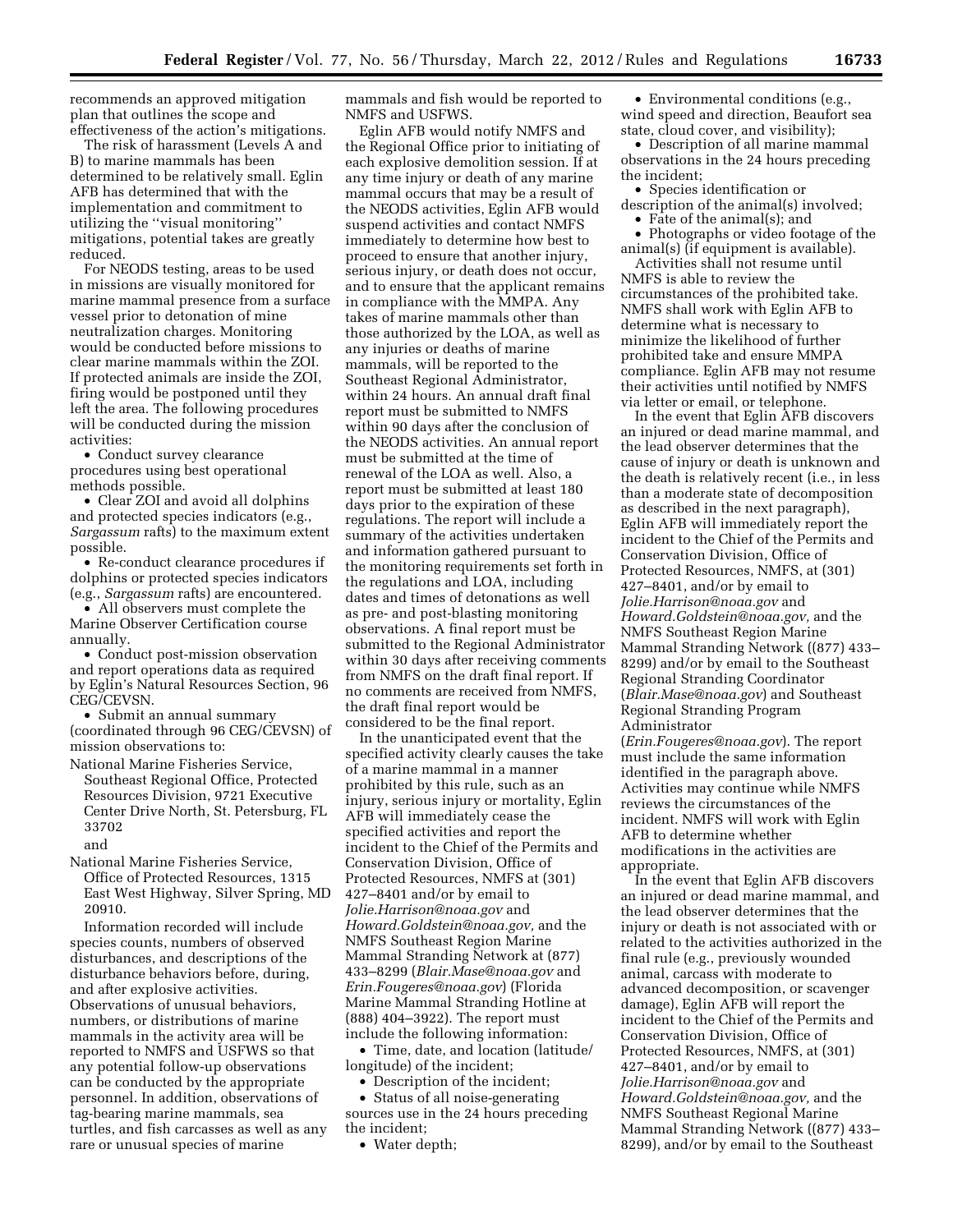recommends an approved mitigation plan that outlines the scope and effectiveness of the action's mitigations.

The risk of harassment (Levels A and B) to marine mammals has been determined to be relatively small. Eglin AFB has determined that with the implementation and commitment to utilizing the ''visual monitoring'' mitigations, potential takes are greatly reduced.

For NEODS testing, areas to be used in missions are visually monitored for marine mammal presence from a surface vessel prior to detonation of mine neutralization charges. Monitoring would be conducted before missions to clear marine mammals within the ZOI. If protected animals are inside the ZOI, firing would be postponed until they left the area. The following procedures will be conducted during the mission activities:

• Conduct survey clearance procedures using best operational methods possible.

• Clear ZOI and avoid all dolphins and protected species indicators (e.g., *Sargassum* rafts) to the maximum extent possible.

• Re-conduct clearance procedures if dolphins or protected species indicators (e.g., *Sargassum* rafts) are encountered.

• All observers must complete the Marine Observer Certification course annually.

• Conduct post-mission observation and report operations data as required by Eglin's Natural Resources Section, 96 CEG/CEVSN.

• Submit an annual summary (coordinated through 96 CEG/CEVSN) of mission observations to:

National Marine Fisheries Service, Southeast Regional Office, Protected Resources Division, 9721 Executive Center Drive North, St. Petersburg, FL 33702 and

National Marine Fisheries Service, Office of Protected Resources, 1315 East West Highway, Silver Spring, MD 20910.

Information recorded will include species counts, numbers of observed disturbances, and descriptions of the disturbance behaviors before, during, and after explosive activities. Observations of unusual behaviors, numbers, or distributions of marine mammals in the activity area will be reported to NMFS and USFWS so that any potential follow-up observations can be conducted by the appropriate personnel. In addition, observations of tag-bearing marine mammals, sea turtles, and fish carcasses as well as any rare or unusual species of marine

mammals and fish would be reported to NMFS and USFWS.

Eglin AFB would notify NMFS and the Regional Office prior to initiating of each explosive demolition session. If at any time injury or death of any marine mammal occurs that may be a result of the NEODS activities, Eglin AFB would suspend activities and contact NMFS immediately to determine how best to proceed to ensure that another injury, serious injury, or death does not occur, and to ensure that the applicant remains in compliance with the MMPA. Any takes of marine mammals other than those authorized by the LOA, as well as any injuries or deaths of marine mammals, will be reported to the Southeast Regional Administrator, within 24 hours. An annual draft final report must be submitted to NMFS within 90 days after the conclusion of the NEODS activities. An annual report must be submitted at the time of renewal of the LOA as well. Also, a report must be submitted at least 180 days prior to the expiration of these regulations. The report will include a summary of the activities undertaken and information gathered pursuant to the monitoring requirements set forth in the regulations and LOA, including dates and times of detonations as well as pre- and post-blasting monitoring observations. A final report must be submitted to the Regional Administrator within 30 days after receiving comments from NMFS on the draft final report. If no comments are received from NMFS the draft final report would be considered to be the final report.

In the unanticipated event that the specified activity clearly causes the take of a marine mammal in a manner prohibited by this rule, such as an injury, serious injury or mortality, Eglin AFB will immediately cease the specified activities and report the incident to the Chief of the Permits and Conservation Division, Office of Protected Resources, NMFS at (301) 427–8401 and/or by email to *[Jolie.Harrison@noaa.gov](mailto:Jolie.Harrison@noaa.gov)* and *[Howard.Goldstein@noaa.gov,](mailto:Howard.Goldstein@noaa.gov)* and the NMFS Southeast Region Marine Mammal Stranding Network at (877) 433–8299 (*[Blair.Mase@noaa.gov](mailto:Blair.Mase@noaa.gov)* and *[Erin.Fougeres@noaa.gov](mailto:Erin.Fougeres@noaa.gov)*) (Florida Marine Mammal Stranding Hotline at (888) 404–3922). The report must include the following information:

• Time, date, and location (latitude/ longitude) of the incident;

• Description of the incident;

• Status of all noise-generating sources use in the 24 hours preceding the incident;

• Water depth;

• Environmental conditions (e.g., wind speed and direction, Beaufort sea state, cloud cover, and visibility);

• Description of all marine mammal observations in the 24 hours preceding the incident;

• Species identification or description of the animal(s) involved; • Fate of the animal(s); and

• Photographs or video footage of the animal(s) (if equipment is available).

Activities shall not resume until NMFS is able to review the circumstances of the prohibited take. NMFS shall work with Eglin AFB to determine what is necessary to minimize the likelihood of further prohibited take and ensure MMPA compliance. Eglin AFB may not resume their activities until notified by NMFS via letter or email, or telephone.

In the event that Eglin AFB discovers an injured or dead marine mammal, and the lead observer determines that the cause of injury or death is unknown and the death is relatively recent (i.e., in less than a moderate state of decomposition as described in the next paragraph), Eglin AFB will immediately report the incident to the Chief of the Permits and Conservation Division, Office of Protected Resources, NMFS, at (301) 427–8401, and/or by email to *[Jolie.Harrison@noaa.gov](mailto:Jolie.Harrison@noaa.gov)* and *[Howard.Goldstein@noaa.gov,](mailto:Howard.Goldstein@noaa.gov)* and the NMFS Southeast Region Marine Mammal Stranding Network ((877) 433– 8299) and/or by email to the Southeast Regional Stranding Coordinator (*[Blair.Mase@noaa.gov](mailto:Blair.Mase@noaa.gov)*) and Southeast Regional Stranding Program Administrator

(*[Erin.Fougeres@noaa.gov](mailto:Erin.Fougeres@noaa.gov)*). The report must include the same information identified in the paragraph above. Activities may continue while NMFS reviews the circumstances of the incident. NMFS will work with Eglin AFB to determine whether modifications in the activities are appropriate.

In the event that Eglin AFB discovers an injured or dead marine mammal, and the lead observer determines that the injury or death is not associated with or related to the activities authorized in the final rule (e.g., previously wounded animal, carcass with moderate to advanced decomposition, or scavenger damage), Eglin AFB will report the incident to the Chief of the Permits and Conservation Division, Office of Protected Resources, NMFS, at (301) 427–8401, and/or by email to *[Jolie.Harrison@noaa.gov](mailto:Jolie.Harrison@noaa.gov)* and *[Howard.Goldstein@noaa.gov,](mailto:Howard.Goldstein@noaa.gov)* and the NMFS Southeast Regional Marine Mammal Stranding Network ((877) 433– 8299), and/or by email to the Southeast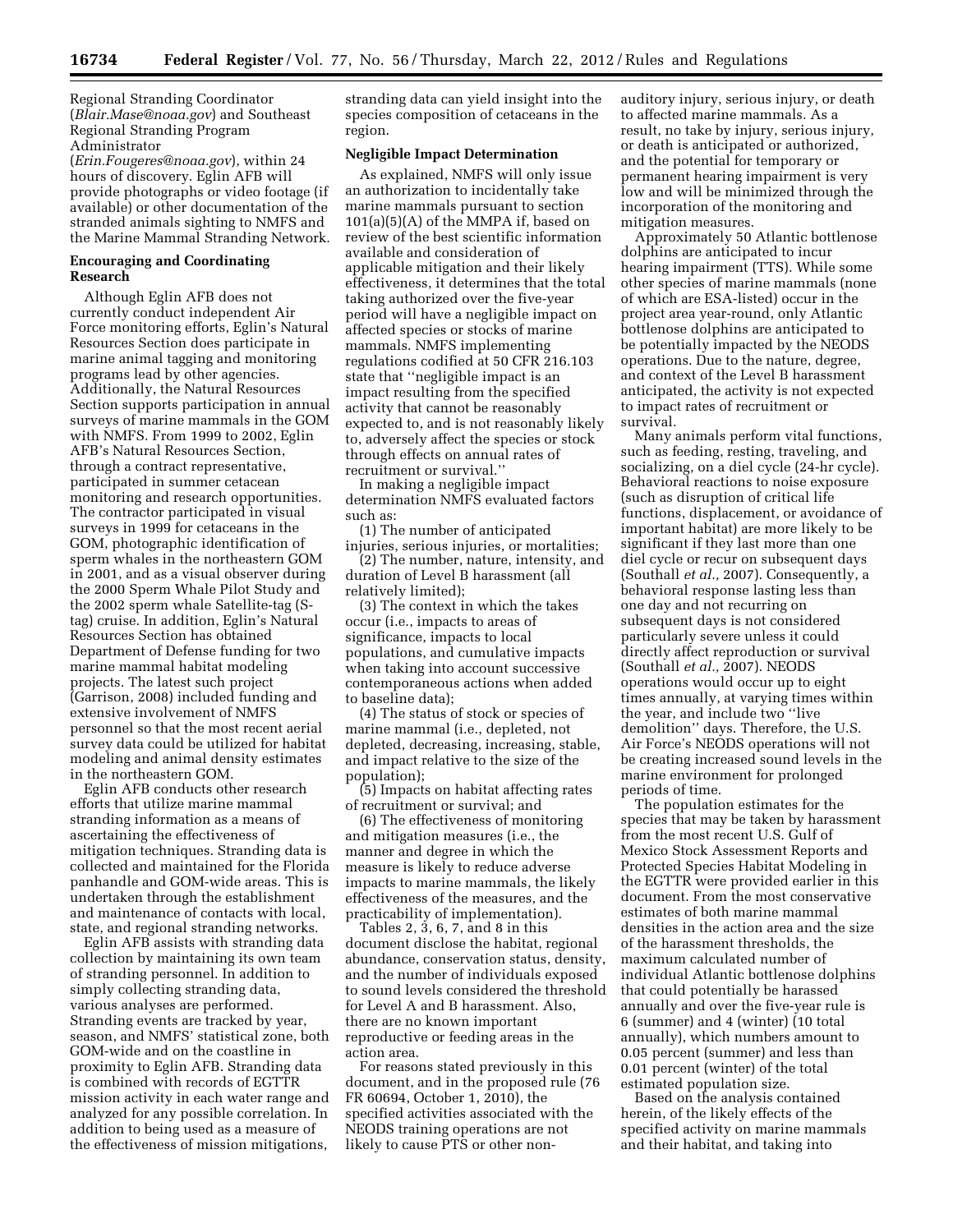Regional Stranding Coordinator (*[Blair.Mase@noaa.gov](mailto:Blair.Mase@noaa.gov)*) and Southeast Regional Stranding Program Administrator

(*[Erin.Fougeres@noaa.gov](mailto:Erin.Fougeres@noaa.gov)*), within 24 hours of discovery. Eglin AFB will provide photographs or video footage (if available) or other documentation of the stranded animals sighting to NMFS and the Marine Mammal Stranding Network.

### **Encouraging and Coordinating Research**

Although Eglin AFB does not currently conduct independent Air Force monitoring efforts, Eglin's Natural Resources Section does participate in marine animal tagging and monitoring programs lead by other agencies. Additionally, the Natural Resources Section supports participation in annual surveys of marine mammals in the GOM with NMFS. From 1999 to 2002, Eglin AFB's Natural Resources Section, through a contract representative, participated in summer cetacean monitoring and research opportunities. The contractor participated in visual surveys in 1999 for cetaceans in the GOM, photographic identification of sperm whales in the northeastern GOM in 2001, and as a visual observer during the 2000 Sperm Whale Pilot Study and the 2002 sperm whale Satellite-tag (Stag) cruise. In addition, Eglin's Natural Resources Section has obtained Department of Defense funding for two marine mammal habitat modeling projects. The latest such project (Garrison, 2008) included funding and extensive involvement of NMFS personnel so that the most recent aerial survey data could be utilized for habitat modeling and animal density estimates in the northeastern GOM.

Eglin AFB conducts other research efforts that utilize marine mammal stranding information as a means of ascertaining the effectiveness of mitigation techniques. Stranding data is collected and maintained for the Florida panhandle and GOM-wide areas. This is undertaken through the establishment and maintenance of contacts with local, state, and regional stranding networks.

Eglin AFB assists with stranding data collection by maintaining its own team of stranding personnel. In addition to simply collecting stranding data, various analyses are performed. Stranding events are tracked by year, season, and NMFS' statistical zone, both GOM-wide and on the coastline in proximity to Eglin AFB. Stranding data is combined with records of EGTTR mission activity in each water range and analyzed for any possible correlation. In addition to being used as a measure of the effectiveness of mission mitigations,

stranding data can yield insight into the species composition of cetaceans in the region.

#### **Negligible Impact Determination**

As explained, NMFS will only issue an authorization to incidentally take marine mammals pursuant to section  $101(a)(5)(A)$  of the MMPA if, based on review of the best scientific information available and consideration of applicable mitigation and their likely effectiveness, it determines that the total taking authorized over the five-year period will have a negligible impact on affected species or stocks of marine mammals. NMFS implementing regulations codified at 50 CFR 216.103 state that ''negligible impact is an impact resulting from the specified activity that cannot be reasonably expected to, and is not reasonably likely to, adversely affect the species or stock through effects on annual rates of recruitment or survival.''

In making a negligible impact determination NMFS evaluated factors such as:

(1) The number of anticipated injuries, serious injuries, or mortalities;

(2) The number, nature, intensity, and duration of Level B harassment (all relatively limited);

(3) The context in which the takes occur (i.e., impacts to areas of significance, impacts to local populations, and cumulative impacts when taking into account successive contemporaneous actions when added to baseline data);

(4) The status of stock or species of marine mammal (i.e., depleted, not depleted, decreasing, increasing, stable, and impact relative to the size of the population);

(5) Impacts on habitat affecting rates of recruitment or survival; and

(6) The effectiveness of monitoring and mitigation measures (i.e., the manner and degree in which the measure is likely to reduce adverse impacts to marine mammals, the likely effectiveness of the measures, and the practicability of implementation).

Tables 2, 3, 6, 7, and 8 in this document disclose the habitat, regional abundance, conservation status, density, and the number of individuals exposed to sound levels considered the threshold for Level A and B harassment. Also, there are no known important reproductive or feeding areas in the action area.

For reasons stated previously in this document, and in the proposed rule (76 FR 60694, October 1, 2010), the specified activities associated with the NEODS training operations are not likely to cause PTS or other nonauditory injury, serious injury, or death to affected marine mammals. As a result, no take by injury, serious injury, or death is anticipated or authorized, and the potential for temporary or permanent hearing impairment is very low and will be minimized through the incorporation of the monitoring and mitigation measures.

Approximately 50 Atlantic bottlenose dolphins are anticipated to incur hearing impairment (TTS). While some other species of marine mammals (none of which are ESA-listed) occur in the project area year-round, only Atlantic bottlenose dolphins are anticipated to be potentially impacted by the NEODS operations. Due to the nature, degree, and context of the Level B harassment anticipated, the activity is not expected to impact rates of recruitment or survival.

Many animals perform vital functions, such as feeding, resting, traveling, and socializing, on a diel cycle (24-hr cycle). Behavioral reactions to noise exposure (such as disruption of critical life functions, displacement, or avoidance of important habitat) are more likely to be significant if they last more than one diel cycle or recur on subsequent days (Southall *et al.,* 2007). Consequently, a behavioral response lasting less than one day and not recurring on subsequent days is not considered particularly severe unless it could directly affect reproduction or survival (Southall *et al.,* 2007). NEODS operations would occur up to eight times annually, at varying times within the year, and include two ''live demolition'' days. Therefore, the U.S. Air Force's NEODS operations will not be creating increased sound levels in the marine environment for prolonged periods of time.

The population estimates for the species that may be taken by harassment from the most recent U.S. Gulf of Mexico Stock Assessment Reports and Protected Species Habitat Modeling in the EGTTR were provided earlier in this document. From the most conservative estimates of both marine mammal densities in the action area and the size of the harassment thresholds, the maximum calculated number of individual Atlantic bottlenose dolphins that could potentially be harassed annually and over the five-year rule is 6 (summer) and 4 (winter) (10 total annually), which numbers amount to 0.05 percent (summer) and less than 0.01 percent (winter) of the total estimated population size.

Based on the analysis contained herein, of the likely effects of the specified activity on marine mammals and their habitat, and taking into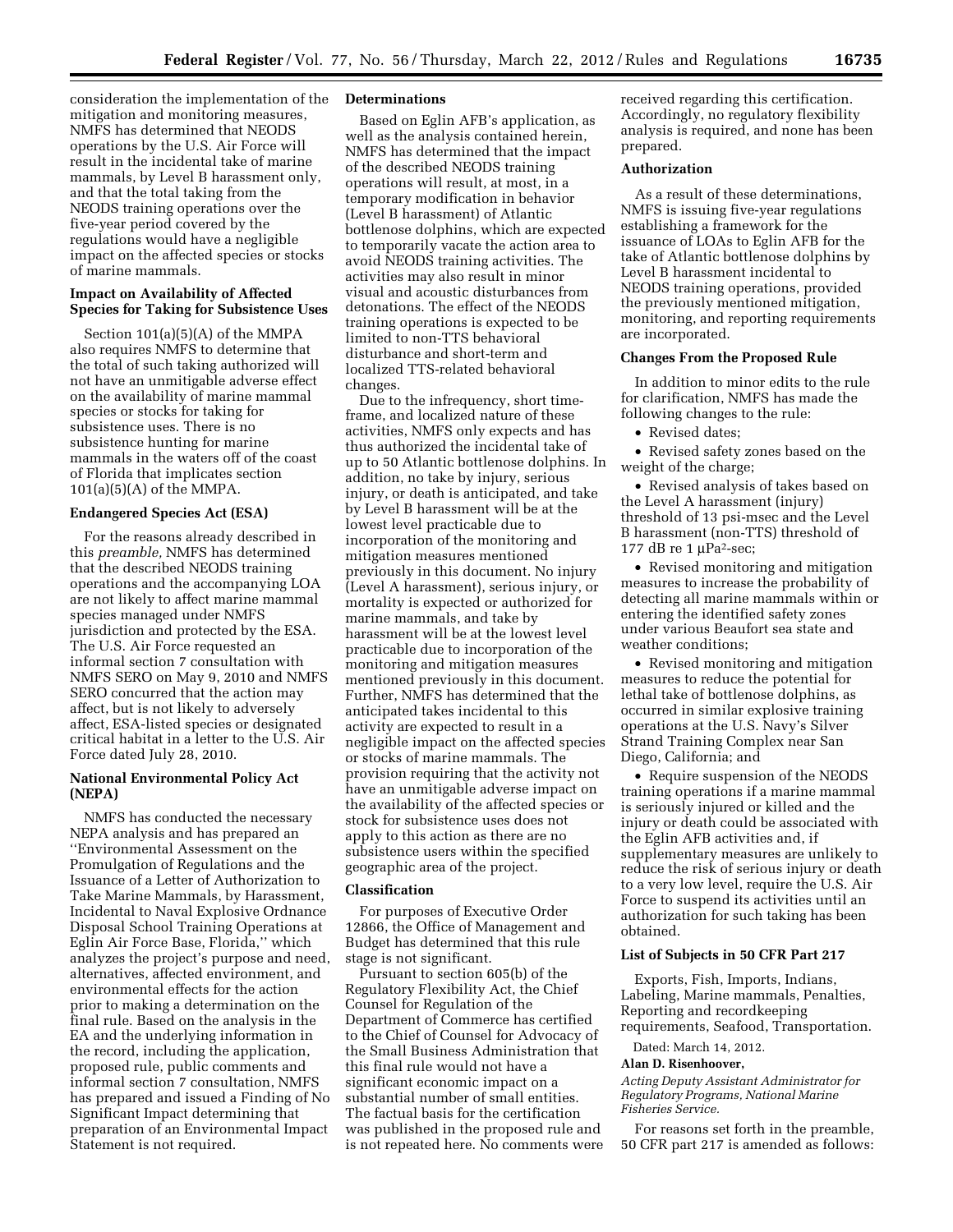consideration the implementation of the mitigation and monitoring measures, NMFS has determined that NEODS operations by the U.S. Air Force will result in the incidental take of marine mammals, by Level B harassment only, and that the total taking from the NEODS training operations over the five-year period covered by the regulations would have a negligible impact on the affected species or stocks of marine mammals.

# **Impact on Availability of Affected Species for Taking for Subsistence Uses**

Section 101(a)(5)(A) of the MMPA also requires NMFS to determine that the total of such taking authorized will not have an unmitigable adverse effect on the availability of marine mammal species or stocks for taking for subsistence uses. There is no subsistence hunting for marine mammals in the waters off of the coast of Florida that implicates section 101(a)(5)(A) of the MMPA.

### **Endangered Species Act (ESA)**

For the reasons already described in this *preamble,* NMFS has determined that the described NEODS training operations and the accompanying LOA are not likely to affect marine mammal species managed under NMFS jurisdiction and protected by the ESA. The U.S. Air Force requested an informal section 7 consultation with NMFS SERO on May 9, 2010 and NMFS SERO concurred that the action may affect, but is not likely to adversely affect, ESA-listed species or designated critical habitat in a letter to the U.S. Air Force dated July 28, 2010.

# **National Environmental Policy Act (NEPA)**

NMFS has conducted the necessary NEPA analysis and has prepared an ''Environmental Assessment on the Promulgation of Regulations and the Issuance of a Letter of Authorization to Take Marine Mammals, by Harassment, Incidental to Naval Explosive Ordnance Disposal School Training Operations at Eglin Air Force Base, Florida,'' which analyzes the project's purpose and need, alternatives, affected environment, and environmental effects for the action prior to making a determination on the final rule. Based on the analysis in the EA and the underlying information in the record, including the application, proposed rule, public comments and informal section 7 consultation, NMFS has prepared and issued a Finding of No Significant Impact determining that preparation of an Environmental Impact Statement is not required.

### **Determinations**

Based on Eglin AFB's application, as well as the analysis contained herein, NMFS has determined that the impact of the described NEODS training operations will result, at most, in a temporary modification in behavior (Level B harassment) of Atlantic bottlenose dolphins, which are expected to temporarily vacate the action area to avoid NEODS training activities. The activities may also result in minor visual and acoustic disturbances from detonations. The effect of the NEODS training operations is expected to be limited to non-TTS behavioral disturbance and short-term and localized TTS-related behavioral changes.

Due to the infrequency, short timeframe, and localized nature of these activities, NMFS only expects and has thus authorized the incidental take of up to 50 Atlantic bottlenose dolphins. In addition, no take by injury, serious injury, or death is anticipated, and take by Level B harassment will be at the lowest level practicable due to incorporation of the monitoring and mitigation measures mentioned previously in this document. No injury (Level A harassment), serious injury, or mortality is expected or authorized for marine mammals, and take by harassment will be at the lowest level practicable due to incorporation of the monitoring and mitigation measures mentioned previously in this document. Further, NMFS has determined that the anticipated takes incidental to this activity are expected to result in a negligible impact on the affected species or stocks of marine mammals. The provision requiring that the activity not have an unmitigable adverse impact on the availability of the affected species or stock for subsistence uses does not apply to this action as there are no subsistence users within the specified geographic area of the project.

# **Classification**

For purposes of Executive Order 12866, the Office of Management and Budget has determined that this rule stage is not significant.

Pursuant to section 605(b) of the Regulatory Flexibility Act, the Chief Counsel for Regulation of the Department of Commerce has certified to the Chief of Counsel for Advocacy of the Small Business Administration that this final rule would not have a significant economic impact on a substantial number of small entities. The factual basis for the certification was published in the proposed rule and is not repeated here. No comments were received regarding this certification. Accordingly, no regulatory flexibility analysis is required, and none has been prepared.

# **Authorization**

As a result of these determinations, NMFS is issuing five-year regulations establishing a framework for the issuance of LOAs to Eglin AFB for the take of Atlantic bottlenose dolphins by Level B harassment incidental to NEODS training operations, provided the previously mentioned mitigation, monitoring, and reporting requirements are incorporated.

### **Changes From the Proposed Rule**

In addition to minor edits to the rule for clarification, NMFS has made the following changes to the rule:

• Revised dates:

• Revised safety zones based on the weight of the charge;

• Revised analysis of takes based on the Level A harassment (injury) threshold of 13 psi-msec and the Level B harassment (non-TTS) threshold of 177 dB re 1  $\mu$ Pa<sup>2</sup>-sec;

• Revised monitoring and mitigation measures to increase the probability of detecting all marine mammals within or entering the identified safety zones under various Beaufort sea state and weather conditions;

• Revised monitoring and mitigation measures to reduce the potential for lethal take of bottlenose dolphins, as occurred in similar explosive training operations at the U.S. Navy's Silver Strand Training Complex near San Diego, California; and

• Require suspension of the NEODS training operations if a marine mammal is seriously injured or killed and the injury or death could be associated with the Eglin AFB activities and, if supplementary measures are unlikely to reduce the risk of serious injury or death to a very low level, require the U.S. Air Force to suspend its activities until an authorization for such taking has been obtained.

#### **List of Subjects in 50 CFR Part 217**

Exports, Fish, Imports, Indians, Labeling, Marine mammals, Penalties, Reporting and recordkeeping requirements, Seafood, Transportation.

Dated: March 14, 2012.

#### **Alan D. Risenhoover,**

*Acting Deputy Assistant Administrator for Regulatory Programs, National Marine Fisheries Service.* 

For reasons set forth in the preamble, 50 CFR part 217 is amended as follows: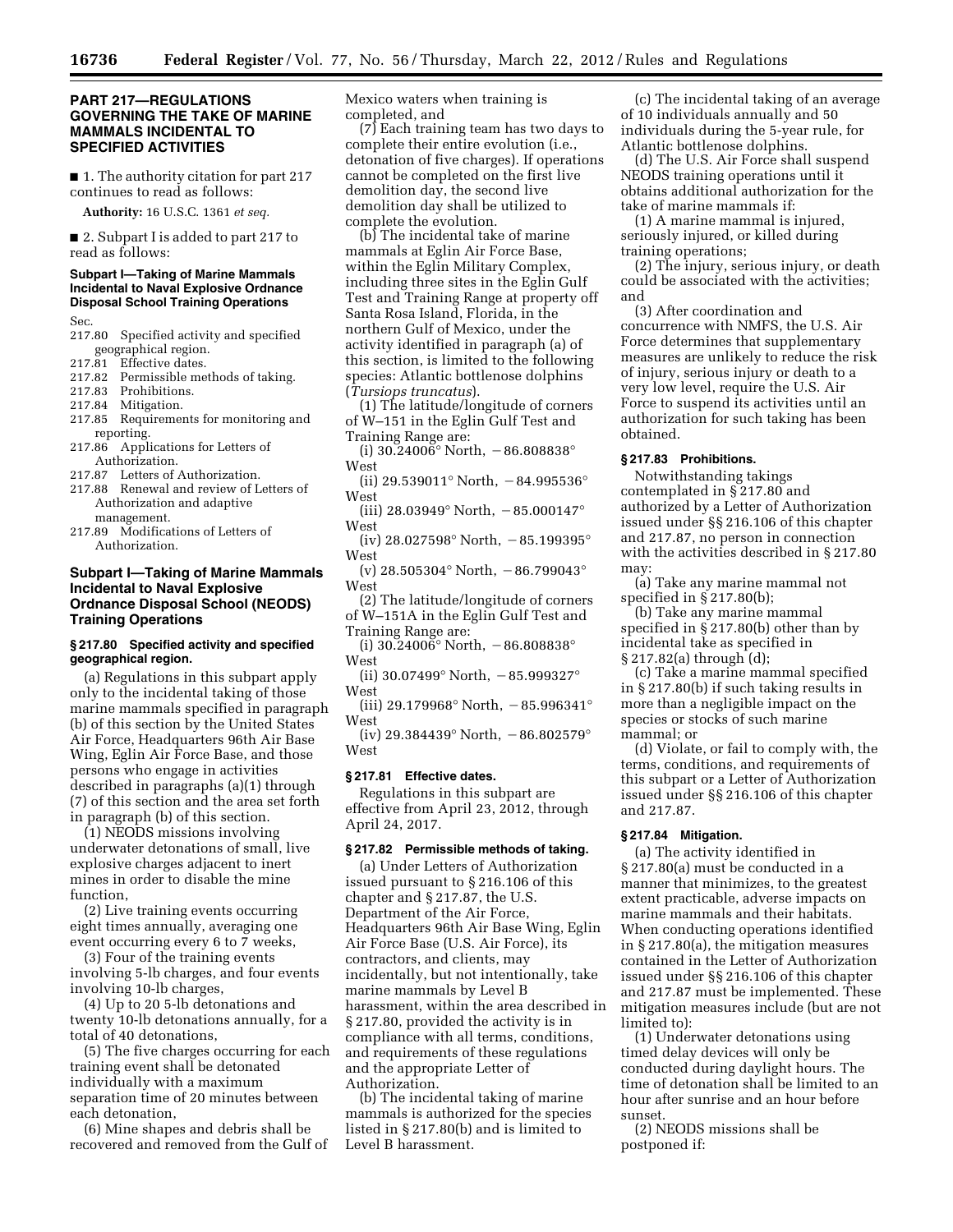# **PART 217—REGULATIONS GOVERNING THE TAKE OF MARINE MAMMALS INCIDENTAL TO SPECIFIED ACTIVITIES**

■ 1. The authority citation for part 217 continues to read as follows:

**Authority:** 16 U.S.C. 1361 *et seq.* 

■ 2. Subpart I is added to part 217 to read as follows:

# **Subpart I—Taking of Marine Mammals Incidental to Naval Explosive Ordnance Disposal School Training Operations**

Sec.

- 217.80 Specified activity and specified geographical region.
- 217.81 Effective dates.
- 217.82 Permissible methods of taking.<br>217.83 Prohibitions.

Prohibitions.

- 217.84 Mitigation.
- 217.85 Requirements for monitoring and reporting.
- 217.86 Applications for Letters of Authorization.
- 217.87 Letters of Authorization.
- 217.88 Renewal and review of Letters of Authorization and adaptive management.
- 217.89 Modifications of Letters of Authorization.

# **Subpart I—Taking of Marine Mammals Incidental to Naval Explosive Ordnance Disposal School (NEODS) Training Operations**

### **§ 217.80 Specified activity and specified geographical region.**

(a) Regulations in this subpart apply only to the incidental taking of those marine mammals specified in paragraph (b) of this section by the United States Air Force, Headquarters 96th Air Base Wing, Eglin Air Force Base, and those persons who engage in activities described in paragraphs (a)(1) through (7) of this section and the area set forth in paragraph (b) of this section.

(1) NEODS missions involving underwater detonations of small, live explosive charges adjacent to inert mines in order to disable the mine function,

(2) Live training events occurring eight times annually, averaging one event occurring every 6 to 7 weeks,

(3) Four of the training events involving 5-lb charges, and four events involving 10-lb charges,

(4) Up to 20 5-lb detonations and twenty 10-lb detonations annually, for a total of 40 detonations,

(5) The five charges occurring for each training event shall be detonated individually with a maximum separation time of 20 minutes between each detonation,

(6) Mine shapes and debris shall be recovered and removed from the Gulf of Mexico waters when training is completed, and

(7) Each training team has two days to complete their entire evolution (i.e., detonation of five charges). If operations cannot be completed on the first live demolition day, the second live demolition day shall be utilized to complete the evolution.

(b) The incidental take of marine mammals at Eglin Air Force Base, within the Eglin Military Complex, including three sites in the Eglin Gulf Test and Training Range at property off Santa Rosa Island, Florida, in the northern Gulf of Mexico, under the activity identified in paragraph (a) of this section, is limited to the following species: Atlantic bottlenose dolphins (*Tursiops truncatus*).

(1) The latitude/longitude of corners of W–151 in the Eglin Gulf Test and

- Training Range are: (i)  $30.24006^{\circ}$  North,  $-86.808838^{\circ}$
- West
- (ii) 29.539011° North,  $-84.995536$ ° West
- (iii) 28.03949° North,  $-85.000147$ ° West
- (iv) 28.027598° North,  $-85.199395$ ° West

(v) 28.505304 $^{\circ}$  North,  $-86.799043^{\circ}$ West

(2) The latitude/longitude of corners of W–151A in the Eglin Gulf Test and

- Training Range are: (i)  $30.24006^{\circ}$  North,  $-86.808838^{\circ}$ West
- (ii) 30.07499 $^{\circ}$  North,  $-85.999327^{\circ}$ West

(iii) 29.179968° North,  $-85.996341$ ° West

(iv) 29.384439° North,  $-86.802579$ ° West

# **§ 217.81 Effective dates.**

Regulations in this subpart are effective from April 23, 2012, through April 24, 2017.

#### **§ 217.82 Permissible methods of taking.**

(a) Under Letters of Authorization issued pursuant to § 216.106 of this chapter and § 217.87, the U.S. Department of the Air Force, Headquarters 96th Air Base Wing, Eglin Air Force Base (U.S. Air Force), its contractors, and clients, may incidentally, but not intentionally, take marine mammals by Level B harassment, within the area described in § 217.80, provided the activity is in compliance with all terms, conditions, and requirements of these regulations and the appropriate Letter of Authorization.

(b) The incidental taking of marine mammals is authorized for the species listed in § 217.80(b) and is limited to Level B harassment.

(c) The incidental taking of an average of 10 individuals annually and 50 individuals during the 5-year rule, for Atlantic bottlenose dolphins.

(d) The U.S. Air Force shall suspend NEODS training operations until it obtains additional authorization for the take of marine mammals if:

(1) A marine mammal is injured, seriously injured, or killed during training operations;

(2) The injury, serious injury, or death could be associated with the activities; and

(3) After coordination and concurrence with NMFS, the U.S. Air Force determines that supplementary measures are unlikely to reduce the risk of injury, serious injury or death to a very low level, require the U.S. Air Force to suspend its activities until an authorization for such taking has been obtained.

# **§ 217.83 Prohibitions.**

Notwithstanding takings contemplated in § 217.80 and authorized by a Letter of Authorization issued under §§ 216.106 of this chapter and 217.87, no person in connection with the activities described in § 217.80 may:

(a) Take any marine mammal not specified in § 217.80(b);

(b) Take any marine mammal specified in § 217.80(b) other than by incidental take as specified in § 217.82(a) through (d);

(c) Take a marine mammal specified in § 217.80(b) if such taking results in more than a negligible impact on the species or stocks of such marine mammal; or

(d) Violate, or fail to comply with, the terms, conditions, and requirements of this subpart or a Letter of Authorization issued under §§ 216.106 of this chapter and 217.87.

### **§ 217.84 Mitigation.**

(a) The activity identified in § 217.80(a) must be conducted in a manner that minimizes, to the greatest extent practicable, adverse impacts on marine mammals and their habitats. When conducting operations identified in § 217.80(a), the mitigation measures contained in the Letter of Authorization issued under §§ 216.106 of this chapter and 217.87 must be implemented. These mitigation measures include (but are not limited to):

(1) Underwater detonations using timed delay devices will only be conducted during daylight hours. The time of detonation shall be limited to an hour after sunrise and an hour before sunset.

(2) NEODS missions shall be postponed if: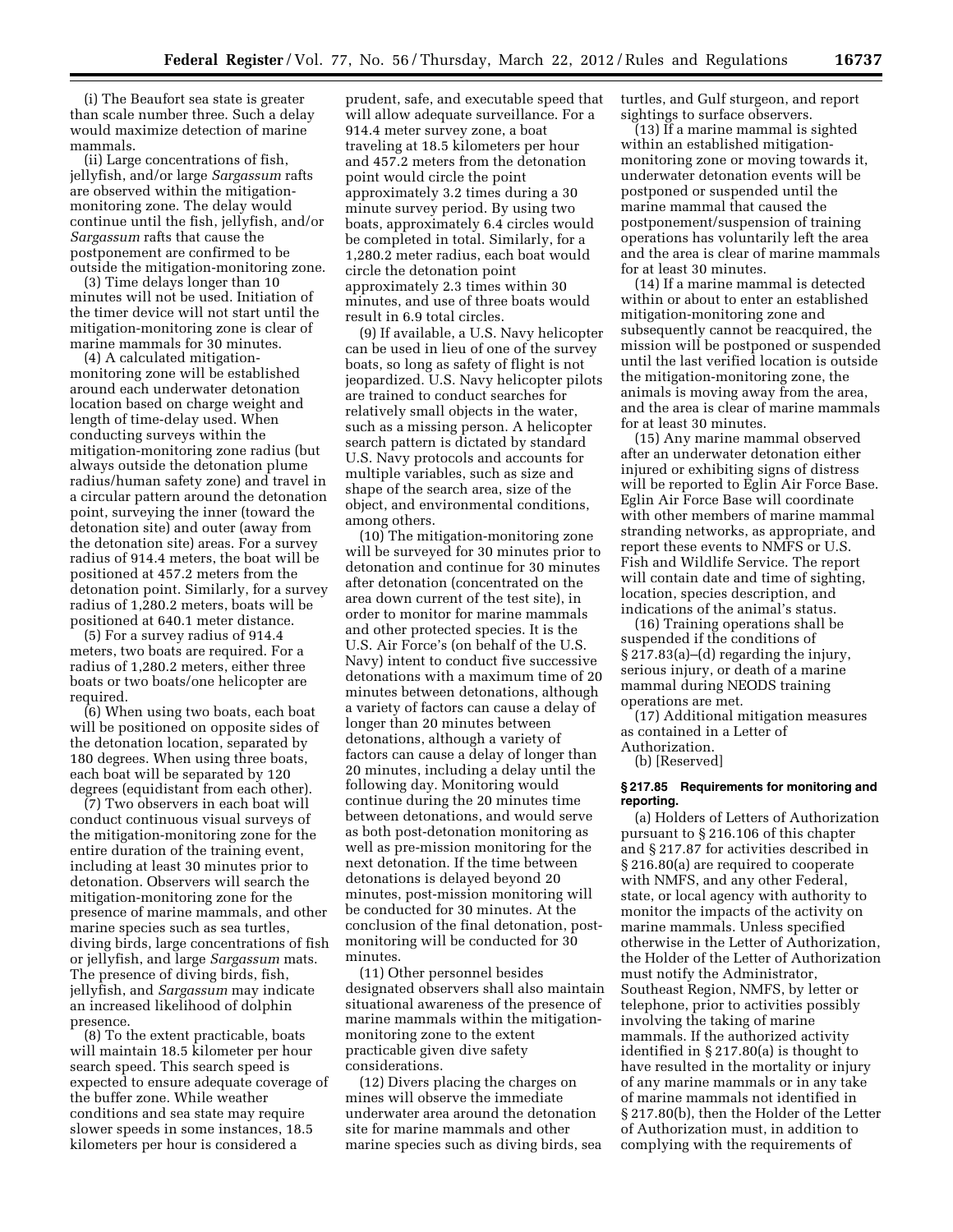(i) The Beaufort sea state is greater than scale number three. Such a delay would maximize detection of marine mammals.

(ii) Large concentrations of fish, jellyfish, and/or large *Sargassum* rafts are observed within the mitigationmonitoring zone. The delay would continue until the fish, jellyfish, and/or *Sargassum* rafts that cause the postponement are confirmed to be outside the mitigation-monitoring zone.

(3) Time delays longer than 10 minutes will not be used. Initiation of the timer device will not start until the mitigation-monitoring zone is clear of marine mammals for 30 minutes.

(4) A calculated mitigationmonitoring zone will be established around each underwater detonation location based on charge weight and length of time-delay used. When conducting surveys within the mitigation-monitoring zone radius (but always outside the detonation plume radius/human safety zone) and travel in a circular pattern around the detonation point, surveying the inner (toward the detonation site) and outer (away from the detonation site) areas. For a survey radius of 914.4 meters, the boat will be positioned at 457.2 meters from the detonation point. Similarly, for a survey radius of 1,280.2 meters, boats will be positioned at 640.1 meter distance.

(5) For a survey radius of 914.4 meters, two boats are required. For a radius of 1,280.2 meters, either three boats or two boats/one helicopter are required.

(6) When using two boats, each boat will be positioned on opposite sides of the detonation location, separated by 180 degrees. When using three boats, each boat will be separated by 120 degrees (equidistant from each other).

(7) Two observers in each boat will conduct continuous visual surveys of the mitigation-monitoring zone for the entire duration of the training event, including at least 30 minutes prior to detonation. Observers will search the mitigation-monitoring zone for the presence of marine mammals, and other marine species such as sea turtles, diving birds, large concentrations of fish or jellyfish, and large *Sargassum* mats. The presence of diving birds, fish, jellyfish, and *Sargassum* may indicate an increased likelihood of dolphin presence.

(8) To the extent practicable, boats will maintain 18.5 kilometer per hour search speed. This search speed is expected to ensure adequate coverage of the buffer zone. While weather conditions and sea state may require slower speeds in some instances, 18.5 kilometers per hour is considered a

prudent, safe, and executable speed that will allow adequate surveillance. For a 914.4 meter survey zone, a boat traveling at 18.5 kilometers per hour and 457.2 meters from the detonation point would circle the point approximately 3.2 times during a 30 minute survey period. By using two boats, approximately 6.4 circles would be completed in total. Similarly, for a 1,280.2 meter radius, each boat would circle the detonation point approximately 2.3 times within 30 minutes, and use of three boats would result in 6.9 total circles.

(9) If available, a U.S. Navy helicopter can be used in lieu of one of the survey boats, so long as safety of flight is not jeopardized. U.S. Navy helicopter pilots are trained to conduct searches for relatively small objects in the water, such as a missing person. A helicopter search pattern is dictated by standard U.S. Navy protocols and accounts for multiple variables, such as size and shape of the search area, size of the object, and environmental conditions, among others.

(10) The mitigation-monitoring zone will be surveyed for 30 minutes prior to detonation and continue for 30 minutes after detonation (concentrated on the area down current of the test site), in order to monitor for marine mammals and other protected species. It is the U.S. Air Force's (on behalf of the U.S. Navy) intent to conduct five successive detonations with a maximum time of 20 minutes between detonations, although a variety of factors can cause a delay of longer than 20 minutes between detonations, although a variety of factors can cause a delay of longer than 20 minutes, including a delay until the following day. Monitoring would continue during the 20 minutes time between detonations, and would serve as both post-detonation monitoring as well as pre-mission monitoring for the next detonation. If the time between detonations is delayed beyond 20 minutes, post-mission monitoring will be conducted for 30 minutes. At the conclusion of the final detonation, postmonitoring will be conducted for 30 minutes.

(11) Other personnel besides designated observers shall also maintain situational awareness of the presence of marine mammals within the mitigationmonitoring zone to the extent practicable given dive safety considerations.

(12) Divers placing the charges on mines will observe the immediate underwater area around the detonation site for marine mammals and other marine species such as diving birds, sea turtles, and Gulf sturgeon, and report sightings to surface observers.

(13) If a marine mammal is sighted within an established mitigationmonitoring zone or moving towards it, underwater detonation events will be postponed or suspended until the marine mammal that caused the postponement/suspension of training operations has voluntarily left the area and the area is clear of marine mammals for at least 30 minutes.

(14) If a marine mammal is detected within or about to enter an established mitigation-monitoring zone and subsequently cannot be reacquired, the mission will be postponed or suspended until the last verified location is outside the mitigation-monitoring zone, the animals is moving away from the area, and the area is clear of marine mammals for at least 30 minutes.

(15) Any marine mammal observed after an underwater detonation either injured or exhibiting signs of distress will be reported to Eglin Air Force Base. Eglin Air Force Base will coordinate with other members of marine mammal stranding networks, as appropriate, and report these events to NMFS or U.S. Fish and Wildlife Service. The report will contain date and time of sighting, location, species description, and indications of the animal's status.

(16) Training operations shall be suspended if the conditions of § 217.83(a)–(d) regarding the injury, serious injury, or death of a marine mammal during NEODS training operations are met.

(17) Additional mitigation measures as contained in a Letter of Authorization.

(b) [Reserved]

#### **§ 217.85 Requirements for monitoring and reporting.**

(a) Holders of Letters of Authorization pursuant to § 216.106 of this chapter and § 217.87 for activities described in § 216.80(a) are required to cooperate with NMFS, and any other Federal, state, or local agency with authority to monitor the impacts of the activity on marine mammals. Unless specified otherwise in the Letter of Authorization, the Holder of the Letter of Authorization must notify the Administrator, Southeast Region, NMFS, by letter or telephone, prior to activities possibly involving the taking of marine mammals. If the authorized activity identified in § 217.80(a) is thought to have resulted in the mortality or injury of any marine mammals or in any take of marine mammals not identified in § 217.80(b), then the Holder of the Letter of Authorization must, in addition to complying with the requirements of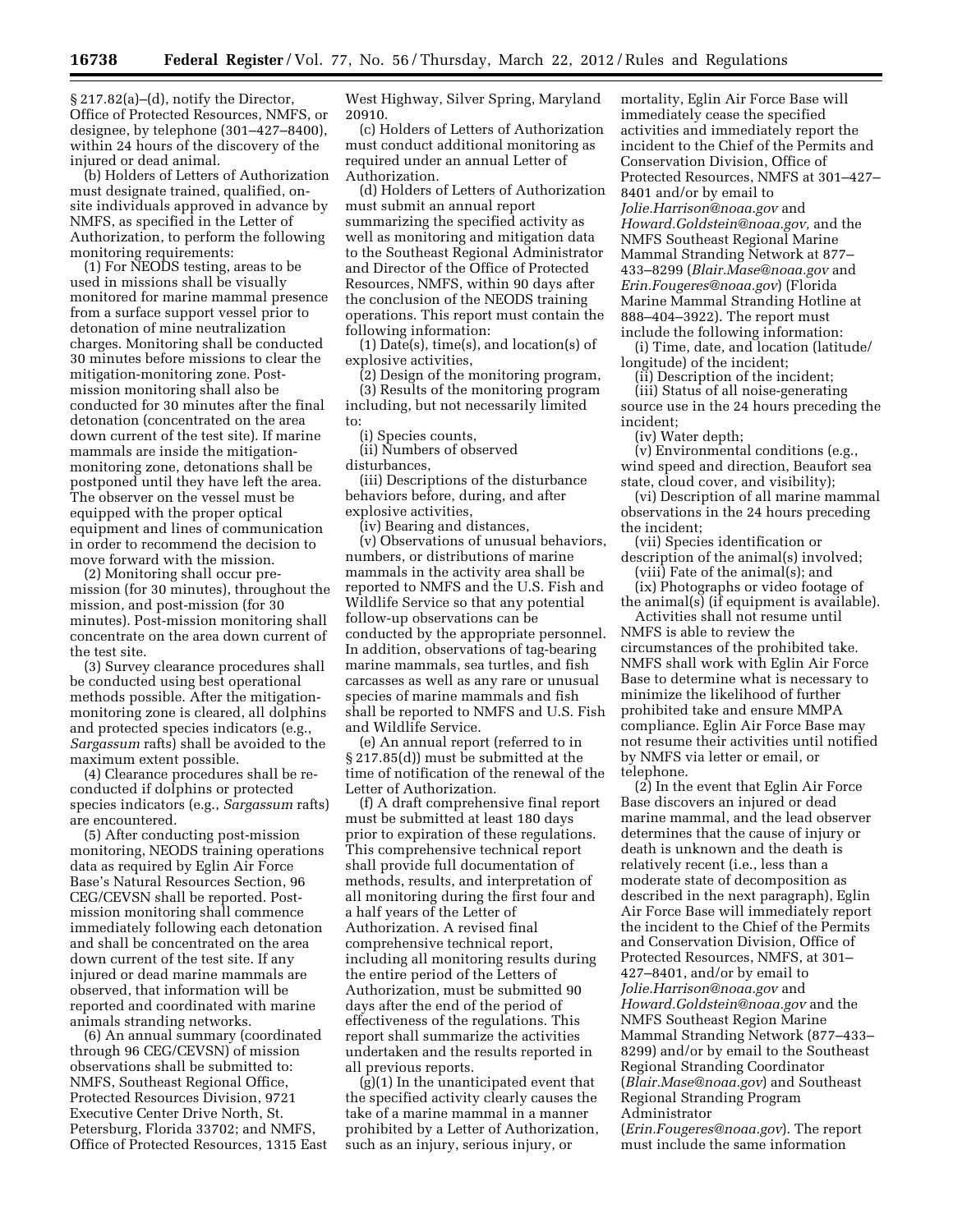§ 217.82(a)–(d), notify the Director, Office of Protected Resources, NMFS, or designee, by telephone (301–427–8400), within 24 hours of the discovery of the injured or dead animal.

(b) Holders of Letters of Authorization must designate trained, qualified, onsite individuals approved in advance by NMFS, as specified in the Letter of Authorization, to perform the following monitoring requirements:

(1) For NEODS testing, areas to be used in missions shall be visually monitored for marine mammal presence from a surface support vessel prior to detonation of mine neutralization charges. Monitoring shall be conducted 30 minutes before missions to clear the mitigation-monitoring zone. Postmission monitoring shall also be conducted for 30 minutes after the final detonation (concentrated on the area down current of the test site). If marine mammals are inside the mitigationmonitoring zone, detonations shall be postponed until they have left the area. The observer on the vessel must be equipped with the proper optical equipment and lines of communication in order to recommend the decision to move forward with the mission.

(2) Monitoring shall occur premission (for 30 minutes), throughout the mission, and post-mission (for 30 minutes). Post-mission monitoring shall concentrate on the area down current of the test site.

(3) Survey clearance procedures shall be conducted using best operational methods possible. After the mitigationmonitoring zone is cleared, all dolphins and protected species indicators (e.g., *Sargassum* rafts) shall be avoided to the maximum extent possible.

(4) Clearance procedures shall be reconducted if dolphins or protected species indicators (e.g., *Sargassum* rafts) are encountered.

(5) After conducting post-mission monitoring, NEODS training operations data as required by Eglin Air Force Base's Natural Resources Section, 96 CEG/CEVSN shall be reported. Postmission monitoring shall commence immediately following each detonation and shall be concentrated on the area down current of the test site. If any injured or dead marine mammals are observed, that information will be reported and coordinated with marine animals stranding networks.

(6) An annual summary (coordinated through 96 CEG/CEVSN) of mission observations shall be submitted to: NMFS, Southeast Regional Office, Protected Resources Division, 9721 Executive Center Drive North, St. Petersburg, Florida 33702; and NMFS, Office of Protected Resources, 1315 East West Highway, Silver Spring, Maryland 20910.

(c) Holders of Letters of Authorization must conduct additional monitoring as required under an annual Letter of Authorization.

(d) Holders of Letters of Authorization must submit an annual report summarizing the specified activity as well as monitoring and mitigation data to the Southeast Regional Administrator and Director of the Office of Protected Resources, NMFS, within 90 days after the conclusion of the NEODS training operations. This report must contain the following information:

(1) Date(s), time(s), and location(s) of explosive activities,

(2) Design of the monitoring program, (3) Results of the monitoring program including, but not necessarily limited to:

(i) Species counts,

(ii) Numbers of observed disturbances,

(iii) Descriptions of the disturbance behaviors before, during, and after explosive activities,

(iv) Bearing and distances,

(v) Observations of unusual behaviors, numbers, or distributions of marine mammals in the activity area shall be reported to NMFS and the U.S. Fish and Wildlife Service so that any potential follow-up observations can be conducted by the appropriate personnel. In addition, observations of tag-bearing marine mammals, sea turtles, and fish carcasses as well as any rare or unusual species of marine mammals and fish shall be reported to NMFS and U.S. Fish and Wildlife Service.

(e) An annual report (referred to in § 217.85(d)) must be submitted at the time of notification of the renewal of the Letter of Authorization.

(f) A draft comprehensive final report must be submitted at least 180 days prior to expiration of these regulations. This comprehensive technical report shall provide full documentation of methods, results, and interpretation of all monitoring during the first four and a half years of the Letter of Authorization. A revised final comprehensive technical report, including all monitoring results during the entire period of the Letters of Authorization, must be submitted 90 days after the end of the period of effectiveness of the regulations. This report shall summarize the activities undertaken and the results reported in all previous reports.

(g)(1) In the unanticipated event that the specified activity clearly causes the take of a marine mammal in a manner prohibited by a Letter of Authorization, such as an injury, serious injury, or

mortality, Eglin Air Force Base will immediately cease the specified activities and immediately report the incident to the Chief of the Permits and Conservation Division, Office of Protected Resources, NMFS at 301–427– 8401 and/or by email to *[Jolie.Harrison@noaa.gov](mailto:Jolie.Harrison@noaa.gov)* and *[Howard.Goldstein@noaa.gov,](mailto:Howard.Goldstein@noaa.gov)* and the NMFS Southeast Regional Marine Mammal Stranding Network at 877– 433–8299 (*[Blair.Mase@noaa.gov](mailto:Blair.Mase@noaa.gov)* and *[Erin.Fougeres@noaa.gov](mailto:Erin.Fougeres@noaa.gov)*) (Florida Marine Mammal Stranding Hotline at 888–404–3922). The report must include the following information:

(i) Time, date, and location (latitude/ longitude) of the incident;

(ii) Description of the incident; (iii) Status of all noise-generating

source use in the 24 hours preceding the incident;

(iv) Water depth;

(v) Environmental conditions (e.g., wind speed and direction, Beaufort sea state, cloud cover, and visibility);

(vi) Description of all marine mammal observations in the 24 hours preceding the incident;

(vii) Species identification or description of the animal(s) involved; (viii) Fate of the animal(s); and

(ix) Photographs or video footage of the animal(s) (if equipment is available).

Activities shall not resume until NMFS is able to review the circumstances of the prohibited take. NMFS shall work with Eglin Air Force Base to determine what is necessary to minimize the likelihood of further prohibited take and ensure MMPA compliance. Eglin Air Force Base may not resume their activities until notified by NMFS via letter or email, or telephone.

(2) In the event that Eglin Air Force Base discovers an injured or dead marine mammal, and the lead observer determines that the cause of injury or death is unknown and the death is relatively recent (i.e., less than a moderate state of decomposition as described in the next paragraph), Eglin Air Force Base will immediately report the incident to the Chief of the Permits and Conservation Division, Office of Protected Resources, NMFS, at 301– 427–8401, and/or by email to *[Jolie.Harrison@noaa.gov](mailto:Jolie.Harrison@noaa.gov)* and *[Howard.Goldstein@noaa.gov](mailto:Howard.Goldstein@noaa.gov)* and the NMFS Southeast Region Marine Mammal Stranding Network (877–433– 8299) and/or by email to the Southeast Regional Stranding Coordinator (*[Blair.Mase@noaa.gov](mailto:Blair.Mase@noaa.gov)*) and Southeast Regional Stranding Program Administrator

(*[Erin.Fougeres@noaa.gov](mailto:Erin.Fougeres@noaa.gov)*). The report must include the same information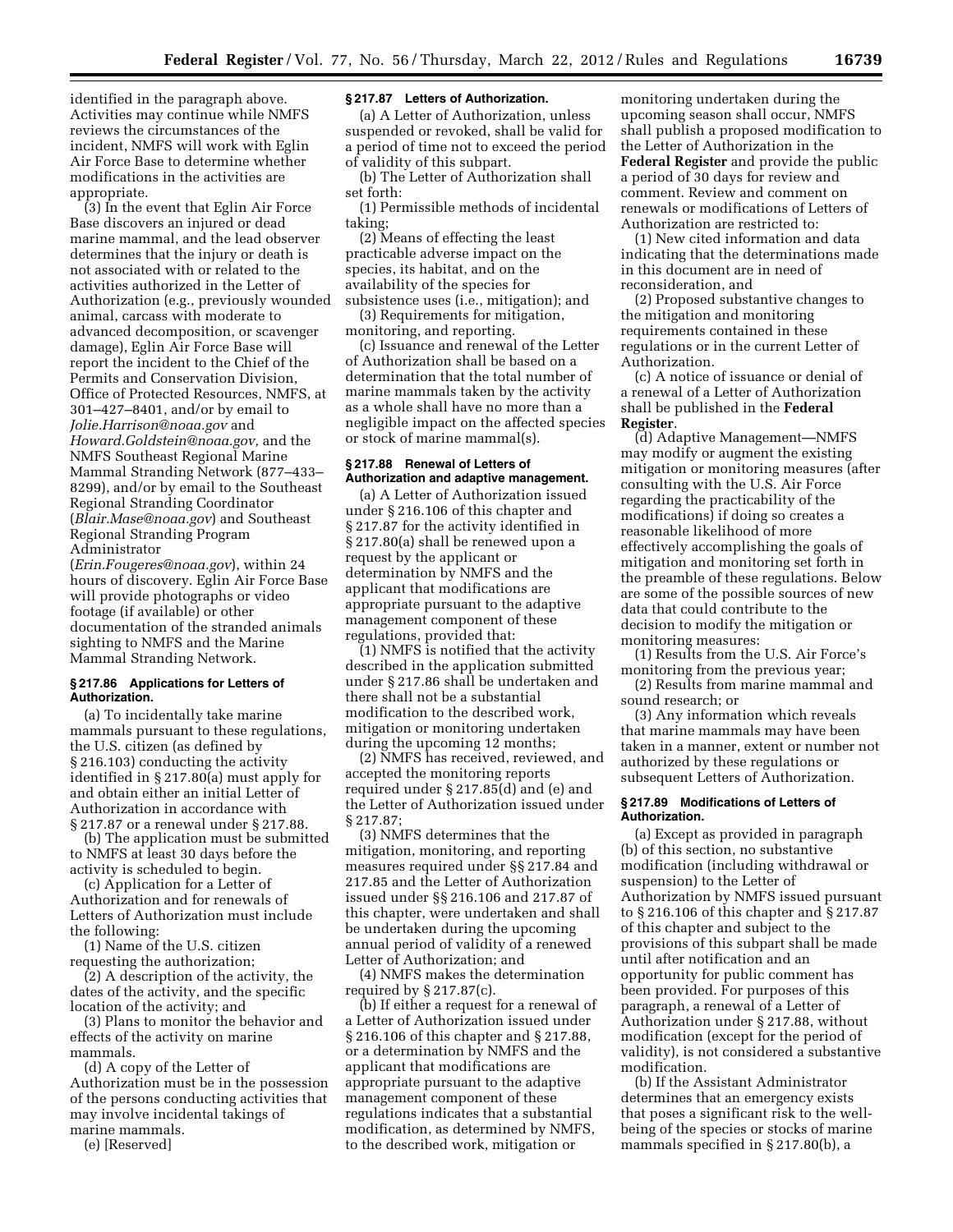identified in the paragraph above. Activities may continue while NMFS reviews the circumstances of the incident, NMFS will work with Eglin Air Force Base to determine whether modifications in the activities are appropriate.

(3) In the event that Eglin Air Force Base discovers an injured or dead marine mammal, and the lead observer determines that the injury or death is not associated with or related to the activities authorized in the Letter of Authorization (e.g., previously wounded animal, carcass with moderate to advanced decomposition, or scavenger damage), Eglin Air Force Base will report the incident to the Chief of the Permits and Conservation Division, Office of Protected Resources, NMFS, at 301–427–8401, and/or by email to *[Jolie.Harrison@noaa.gov](mailto:Jolie.Harrison@noaa.gov)* and *[Howard.Goldstein@noaa.gov,](mailto:Howard.Goldstein@noaa.gov)* and the NMFS Southeast Regional Marine Mammal Stranding Network (877–433– 8299), and/or by email to the Southeast Regional Stranding Coordinator (*[Blair.Mase@noaa.gov](mailto:Blair.Mase@noaa.gov)*) and Southeast Regional Stranding Program Administrator

(*[Erin.Fougeres@noaa.gov](mailto:Erin.Fougeres@noaa.gov)*), within 24 hours of discovery. Eglin Air Force Base will provide photographs or video footage (if available) or other documentation of the stranded animals sighting to NMFS and the Marine Mammal Stranding Network.

### **§ 217.86 Applications for Letters of Authorization.**

(a) To incidentally take marine mammals pursuant to these regulations, the U.S. citizen (as defined by § 216.103) conducting the activity identified in § 217.80(a) must apply for and obtain either an initial Letter of Authorization in accordance with § 217.87 or a renewal under § 217.88.

(b) The application must be submitted to NMFS at least 30 days before the activity is scheduled to begin.

(c) Application for a Letter of Authorization and for renewals of Letters of Authorization must include the following:

(1) Name of the U.S. citizen requesting the authorization;

(2) A description of the activity, the dates of the activity, and the specific location of the activity; and

(3) Plans to monitor the behavior and effects of the activity on marine mammals.

(d) A copy of the Letter of Authorization must be in the possession of the persons conducting activities that may involve incidental takings of marine mammals.

(e) [Reserved]

### **§ 217.87 Letters of Authorization.**

(a) A Letter of Authorization, unless suspended or revoked, shall be valid for a period of time not to exceed the period of validity of this subpart.

(b) The Letter of Authorization shall set forth:

(1) Permissible methods of incidental taking;

(2) Means of effecting the least practicable adverse impact on the species, its habitat, and on the availability of the species for subsistence uses (i.e., mitigation); and

(3) Requirements for mitigation, monitoring, and reporting.

(c) Issuance and renewal of the Letter of Authorization shall be based on a determination that the total number of marine mammals taken by the activity as a whole shall have no more than a negligible impact on the affected species or stock of marine mammal(s).

### **§ 217.88 Renewal of Letters of Authorization and adaptive management.**

(a) A Letter of Authorization issued under § 216.106 of this chapter and § 217.87 for the activity identified in § 217.80(a) shall be renewed upon a request by the applicant or determination by NMFS and the applicant that modifications are appropriate pursuant to the adaptive management component of these regulations, provided that:

(1) NMFS is notified that the activity described in the application submitted under § 217.86 shall be undertaken and there shall not be a substantial modification to the described work, mitigation or monitoring undertaken during the upcoming 12 months;

(2) NMFS has received, reviewed, and accepted the monitoring reports required under § 217.85(d) and (e) and the Letter of Authorization issued under § 217.87;

(3) NMFS determines that the mitigation, monitoring, and reporting measures required under §§ 217.84 and 217.85 and the Letter of Authorization issued under §§ 216.106 and 217.87 of this chapter, were undertaken and shall be undertaken during the upcoming annual period of validity of a renewed Letter of Authorization; and

(4) NMFS makes the determination required by § 217.87(c).

(b) If either a request for a renewal of a Letter of Authorization issued under § 216.106 of this chapter and § 217.88, or a determination by NMFS and the applicant that modifications are appropriate pursuant to the adaptive management component of these regulations indicates that a substantial modification, as determined by NMFS, to the described work, mitigation or

monitoring undertaken during the upcoming season shall occur, NMFS shall publish a proposed modification to the Letter of Authorization in the **Federal Register** and provide the public a period of 30 days for review and comment. Review and comment on renewals or modifications of Letters of Authorization are restricted to:

(1) New cited information and data indicating that the determinations made in this document are in need of reconsideration, and

(2) Proposed substantive changes to the mitigation and monitoring requirements contained in these regulations or in the current Letter of Authorization.

(c) A notice of issuance or denial of a renewal of a Letter of Authorization shall be published in the **Federal Register**.

(d) Adaptive Management—NMFS may modify or augment the existing mitigation or monitoring measures (after consulting with the U.S. Air Force regarding the practicability of the modifications) if doing so creates a reasonable likelihood of more effectively accomplishing the goals of mitigation and monitoring set forth in the preamble of these regulations. Below are some of the possible sources of new data that could contribute to the decision to modify the mitigation or monitoring measures:

(1) Results from the U.S. Air Force's monitoring from the previous year;

(2) Results from marine mammal and sound research; or

(3) Any information which reveals that marine mammals may have been taken in a manner, extent or number not authorized by these regulations or subsequent Letters of Authorization.

### **§ 217.89 Modifications of Letters of Authorization.**

(a) Except as provided in paragraph (b) of this section, no substantive modification (including withdrawal or suspension) to the Letter of Authorization by NMFS issued pursuant to § 216.106 of this chapter and § 217.87 of this chapter and subject to the provisions of this subpart shall be made until after notification and an opportunity for public comment has been provided. For purposes of this paragraph, a renewal of a Letter of Authorization under § 217.88, without modification (except for the period of validity), is not considered a substantive modification.

(b) If the Assistant Administrator determines that an emergency exists that poses a significant risk to the wellbeing of the species or stocks of marine mammals specified in § 217.80(b), a